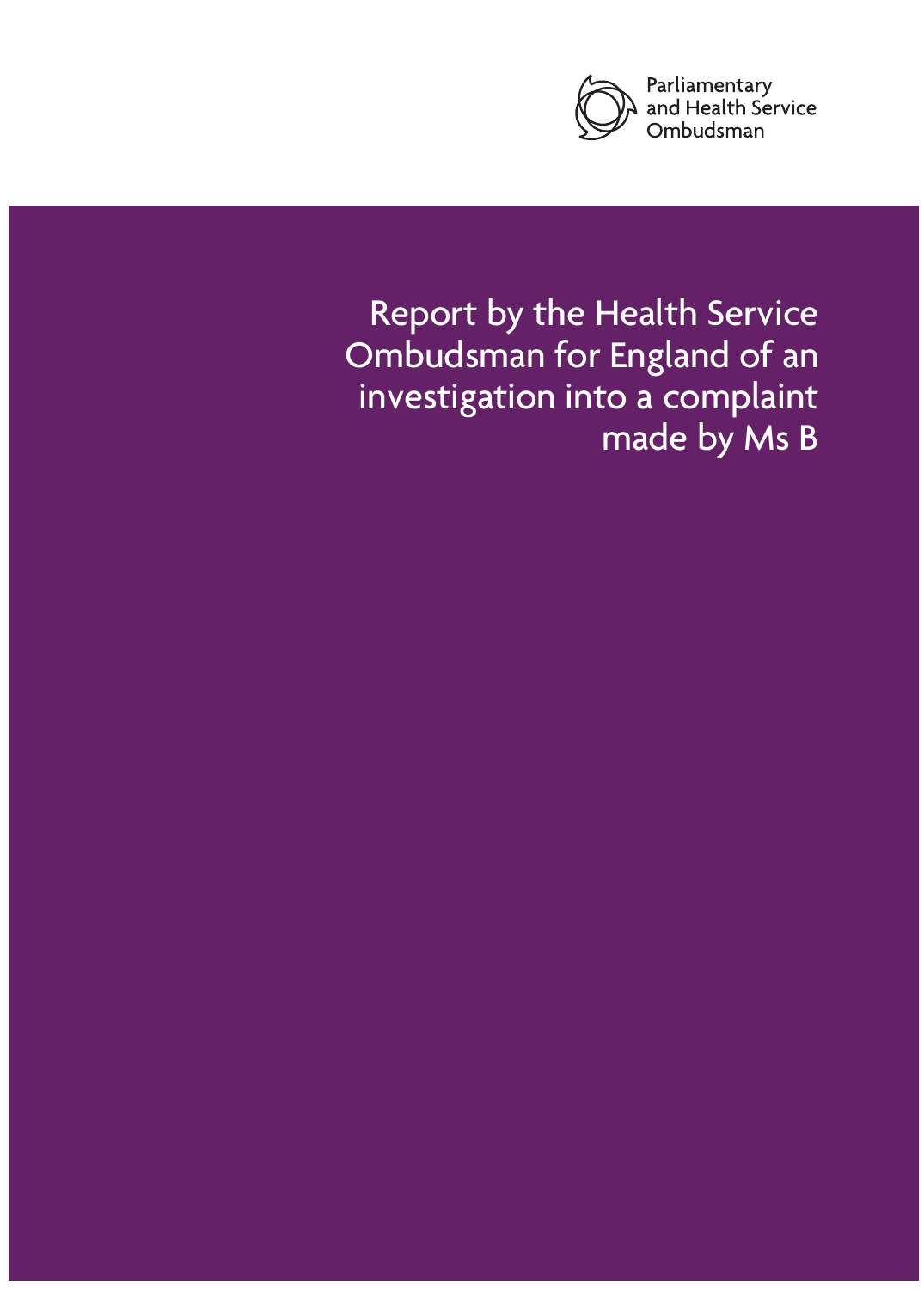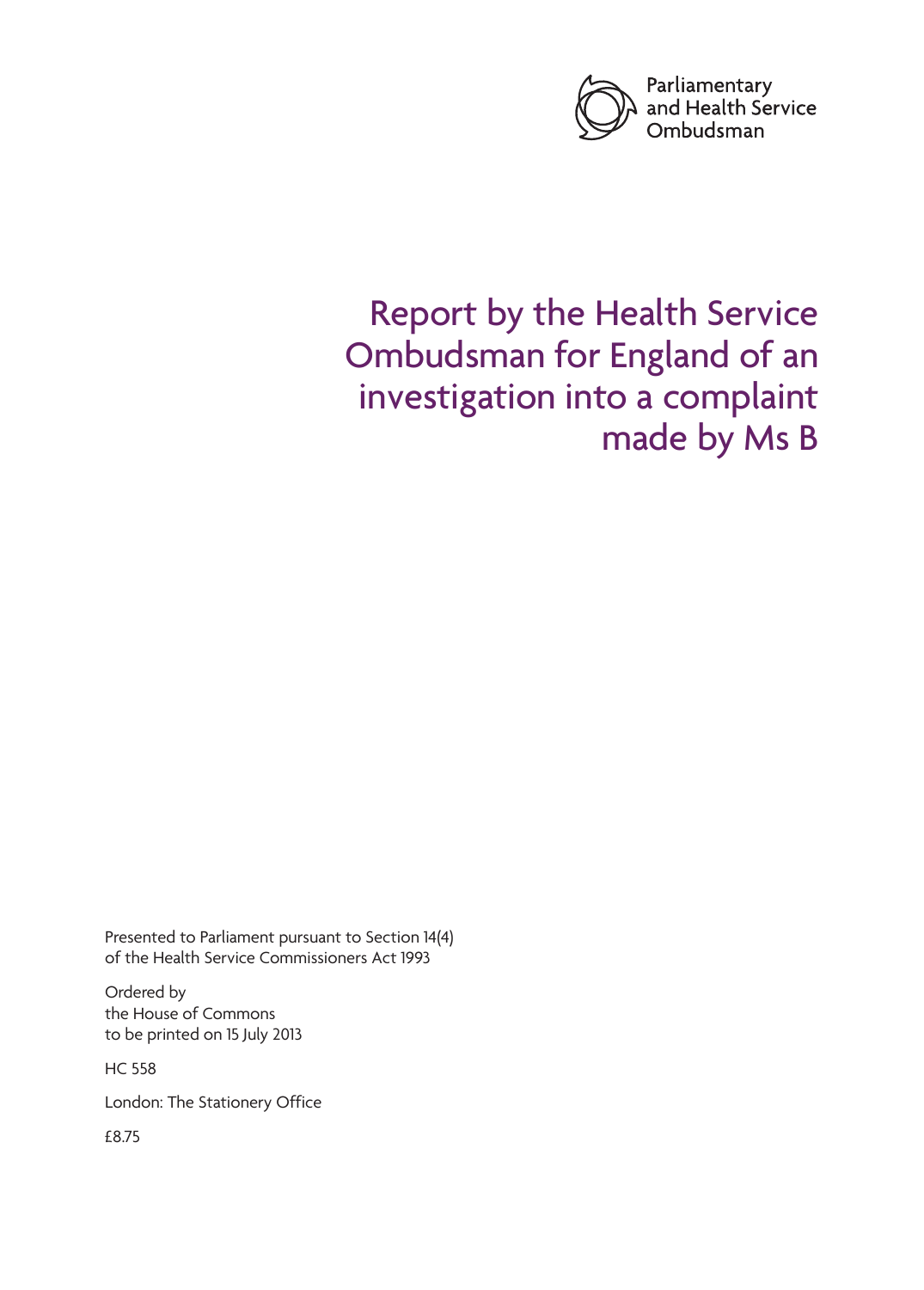

# Report by the Health Service Ombudsman for England of an investigation into a complaint made by Ms B

Presented to Parliament pursuant to Section 14(4) of the Health Service Commissioners Act 1993

Ordered by the House of Commons to be printed on 15 July 2013

HC 558

London: The Stationery Office

£8.75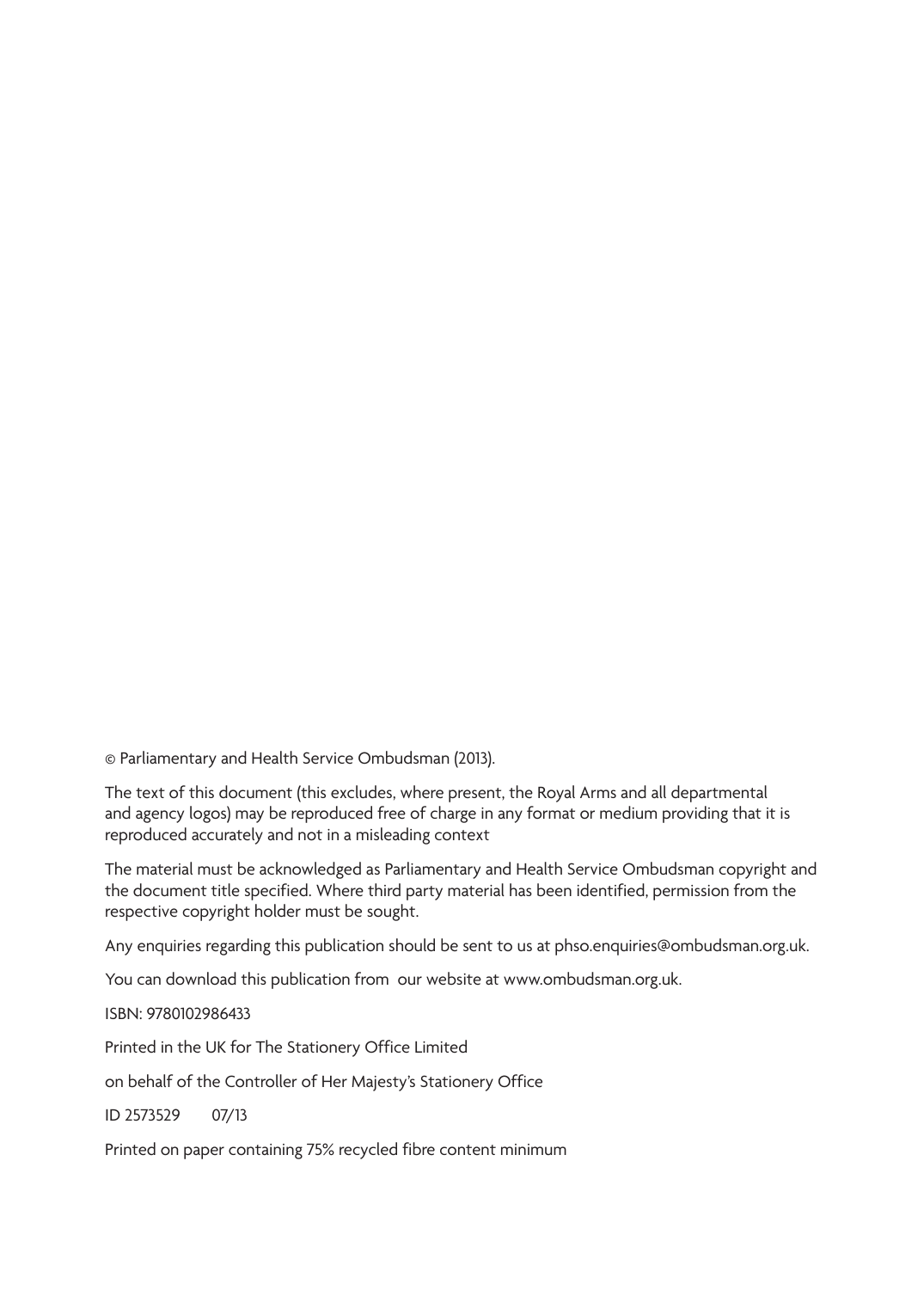© Parliamentary and Health Service Ombudsman (2013).

The text of this document (this excludes, where present, the Royal Arms and all departmental and agency logos) may be reproduced free of charge in any format or medium providing that it is reproduced accurately and not in a misleading context

The material must be acknowledged as Parliamentary and Health Service Ombudsman copyright and the document title specified. Where third party material has been identified, permission from the respective copyright holder must be sought.

Any enquiries regarding this publication should be sent to us at phso.enquiries@ombudsman.org.uk.

You can download this publication from our website at www.ombudsman.org.uk.

ISBN: 9780102986433

Printed in the UK for The Stationery Office Limited

on behalf of the Controller of Her Majesty's Stationery Office

ID 2573529 07/13

Printed on paper containing 75% recycled fibre content minimum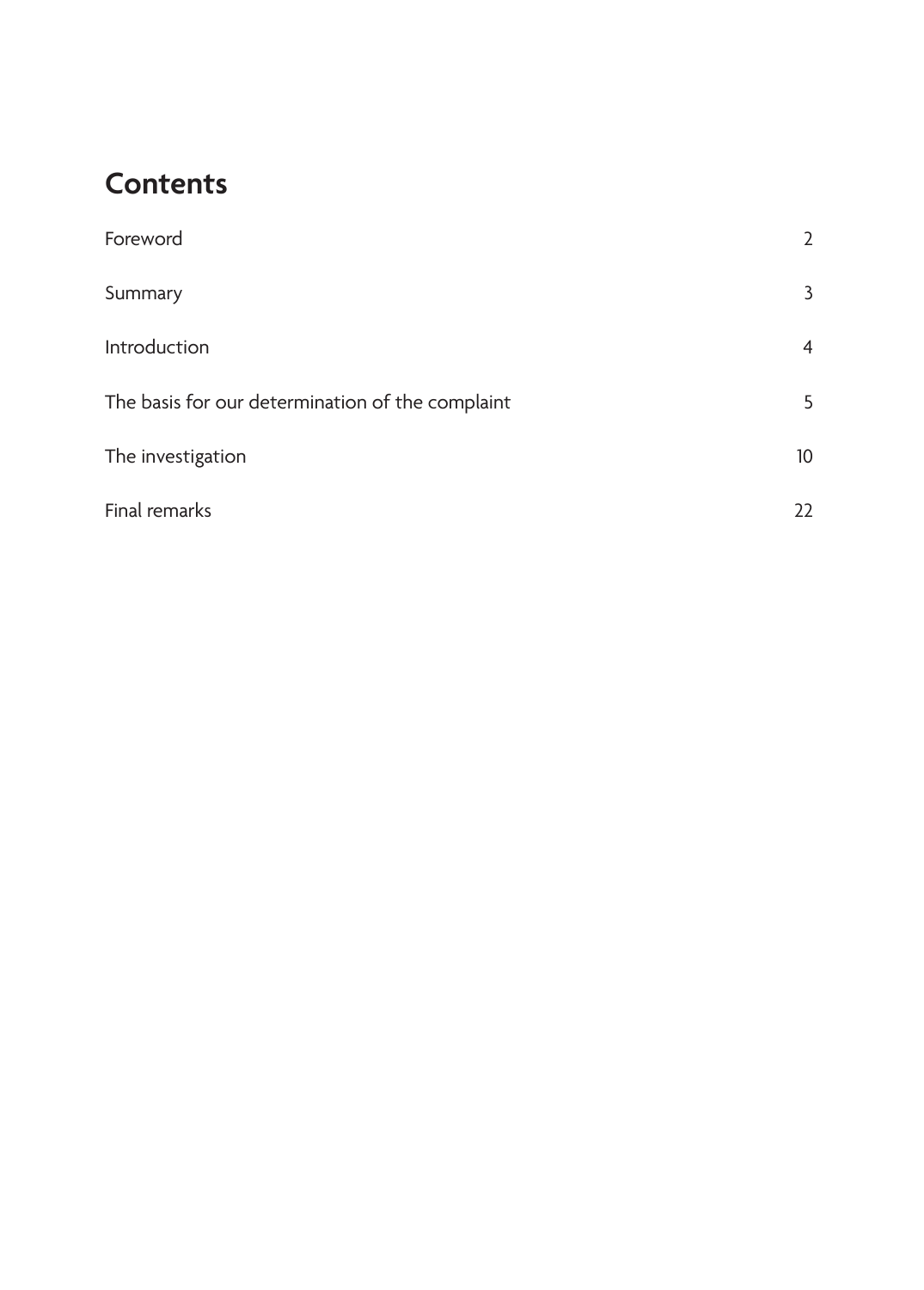## **Contents**

| Foreword                                         | $\overline{2}$ |
|--------------------------------------------------|----------------|
| Summary                                          | 3              |
| Introduction                                     | $\overline{4}$ |
| The basis for our determination of the complaint | 5              |
| The investigation                                | 10             |
| Final remarks                                    | 22             |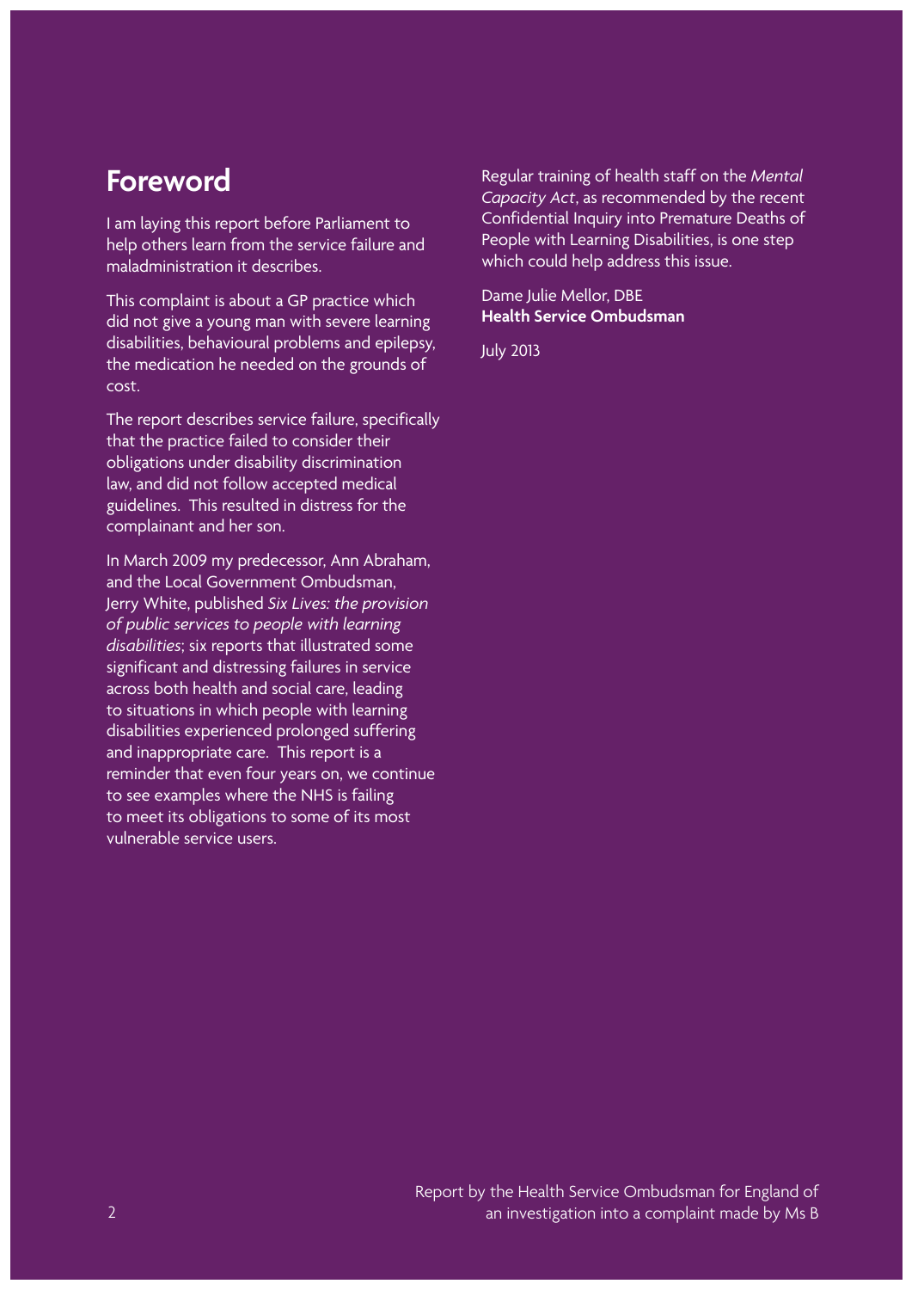## <span id="page-5-0"></span>**Foreword**

I am laying this report before Parliament to help others learn from the service failure and maladministration it describes.

This complaint is about a GP practice which did not give a young man with severe learning disabilities, behavioural problems and epilepsy, the medication he needed on the grounds of cost.

The report describes service failure, specifically that the practice failed to consider their obligations under disability discrimination law, and did not follow accepted medical guidelines. This resulted in distress for the complainant and her son.

In March 2009 my predecessor, Ann Abraham, and the Local Government Ombudsman, Jerry White, published *Six Lives: the provision of public services to people with learning disabilities*; six reports that illustrated some significant and distressing failures in service across both health and social care, leading to situations in which people with learning disabilities experienced prolonged suffering and inappropriate care. This report is a reminder that even four years on, we continue to see examples where the NHS is failing to meet its obligations to some of its most vulnerable service users.

Regular training of health staff on the *Mental Capacity Act*, as recommended by the recent Confidential Inquiry into Premature Deaths of People with Learning Disabilities, is one step which could help address this issue.

Dame Julie Mellor, DBE **Health Service Ombudsman**

July 2013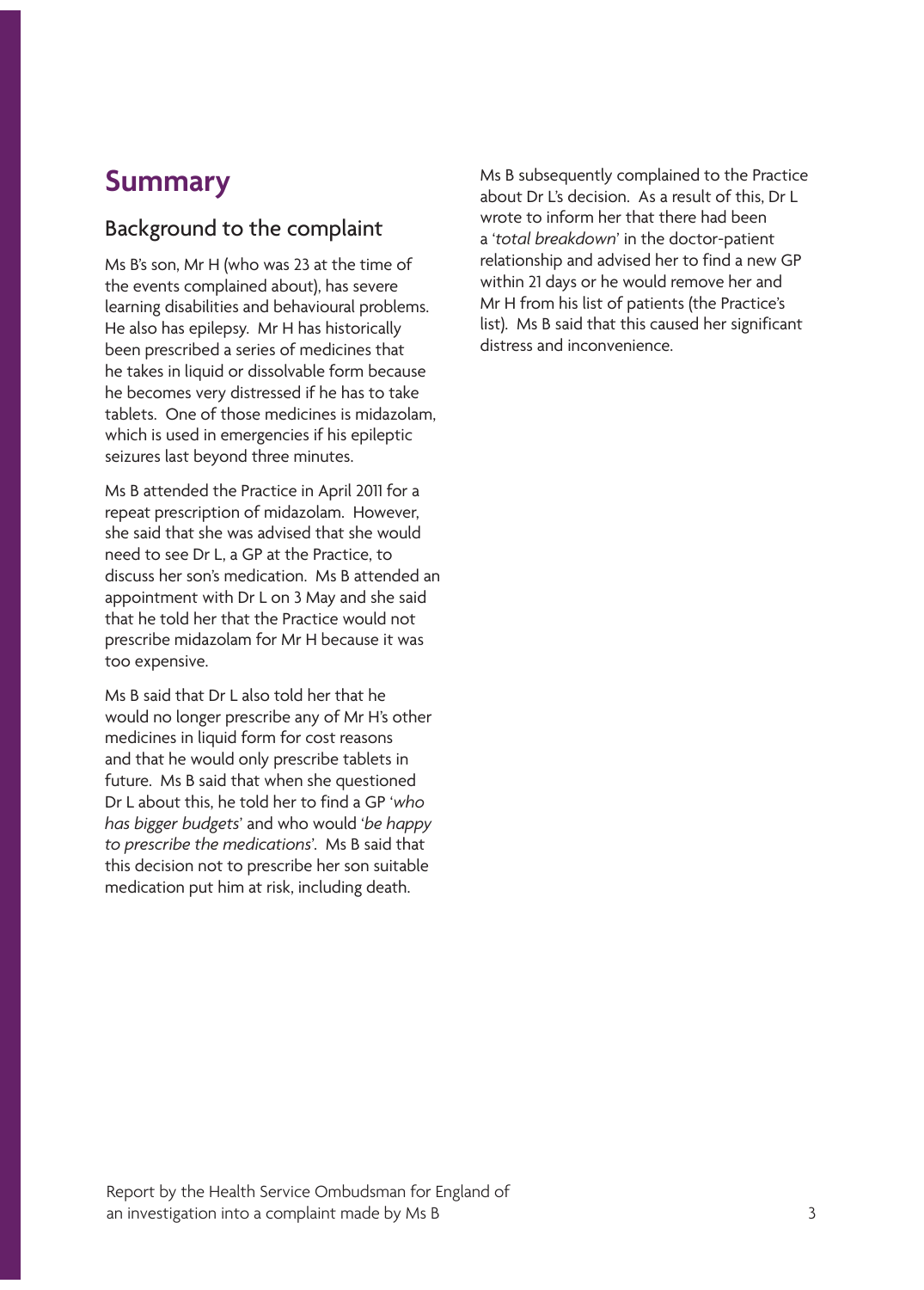## <span id="page-6-0"></span>**Summary**

#### Background to the complaint

Ms B's son, Mr H (who was 23 at the time of the events complained about), has severe learning disabilities and behavioural problems. He also has epilepsy. Mr H has historically been prescribed a series of medicines that he takes in liquid or dissolvable form because he becomes very distressed if he has to take tablets. One of those medicines is midazolam, which is used in emergencies if his epileptic seizures last beyond three minutes.

Ms B attended the Practice in April 2011 for a repeat prescription of midazolam. However, she said that she was advised that she would need to see Dr L, a GP at the Practice, to discuss her son's medication. Ms B attended an appointment with Dr L on 3 May and she said that he told her that the Practice would not prescribe midazolam for Mr H because it was too expensive.

Ms B said that Dr L also told her that he would no longer prescribe any of Mr H's other medicines in liquid form for cost reasons and that he would only prescribe tablets in future. Ms B said that when she questioned Dr L about this, he told her to find a GP '*who has bigger budgets*' and who would '*be happy to prescribe the medications*'. Ms B said that this decision not to prescribe her son suitable medication put him at risk, including death.

Ms B subsequently complained to the Practice about Dr L's decision. As a result of this, Dr L wrote to inform her that there had been a '*total breakdown*' in the doctor-patient relationship and advised her to find a new GP within 21 days or he would remove her and Mr H from his list of patients (the Practice's list). Ms B said that this caused her significant distress and inconvenience.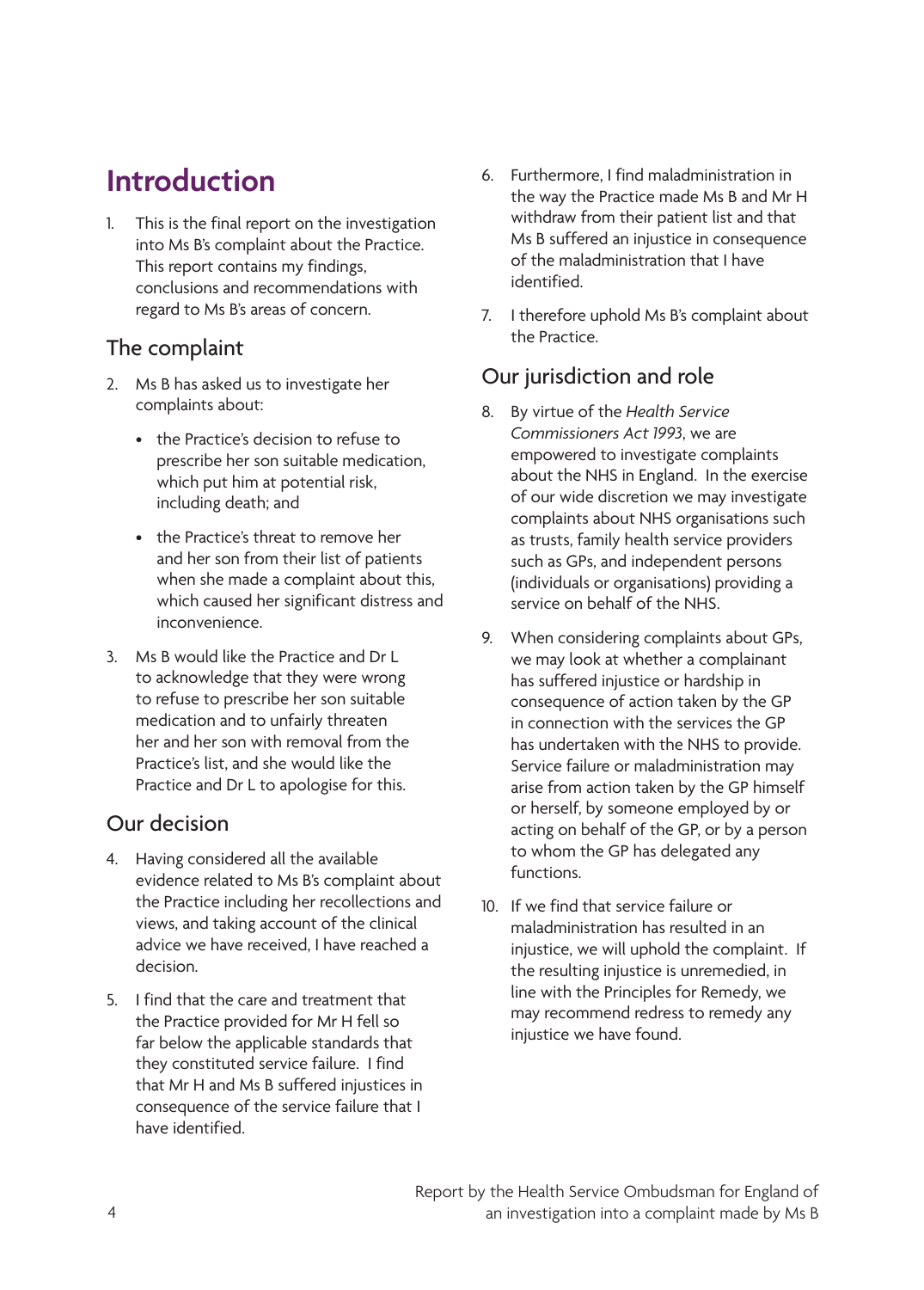## <span id="page-7-0"></span>**Introduction**

1. This is the final report on the investigation into Ms B's complaint about the Practice. This report contains my findings, conclusions and recommendations with regard to Ms B's areas of concern.

### The complaint

- 2. Ms B has asked us to investigate her complaints about:
	- the Practice's decision to refuse to prescribe her son suitable medication, which put him at potential risk, including death; and
	- • the Practice's threat to remove her and her son from their list of patients when she made a complaint about this, which caused her significant distress and inconvenience.
- 3. Ms B would like the Practice and Dr L to acknowledge that they were wrong to refuse to prescribe her son suitable medication and to unfairly threaten her and her son with removal from the Practice's list, and she would like the Practice and Dr L to apologise for this.

#### Our decision

- 4. Having considered all the available evidence related to Ms B's complaint about the Practice including her recollections and views, and taking account of the clinical advice we have received, I have reached a decision.
- 5. I find that the care and treatment that the Practice provided for Mr H fell so far below the applicable standards that they constituted service failure. I find that Mr H and Ms B suffered injustices in consequence of the service failure that I have identified.
- 6. Furthermore, I find maladministration in the way the Practice made Ms B and Mr H withdraw from their patient list and that Ms B suffered an injustice in consequence of the maladministration that I have identified.
- 7. I therefore uphold Ms B's complaint about the Practice.

### Our jurisdiction and role

- 8. By virtue of the *Health Service Commissioners Act 1993*, we are empowered to investigate complaints about the NHS in England. In the exercise of our wide discretion we may investigate complaints about NHS organisations such as trusts, family health service providers such as GPs, and independent persons (individuals or organisations) providing a service on behalf of the NHS.
- 9. When considering complaints about GPs, we may look at whether a complainant has suffered injustice or hardship in consequence of action taken by the GP in connection with the services the GP has undertaken with the NHS to provide. Service failure or maladministration may arise from action taken by the GP himself or herself, by someone employed by or acting on behalf of the GP, or by a person to whom the GP has delegated any functions.
- 10. If we find that service failure or maladministration has resulted in an injustice, we will uphold the complaint. If the resulting injustice is unremedied, in line with the Principles for Remedy, we may recommend redress to remedy any injustice we have found.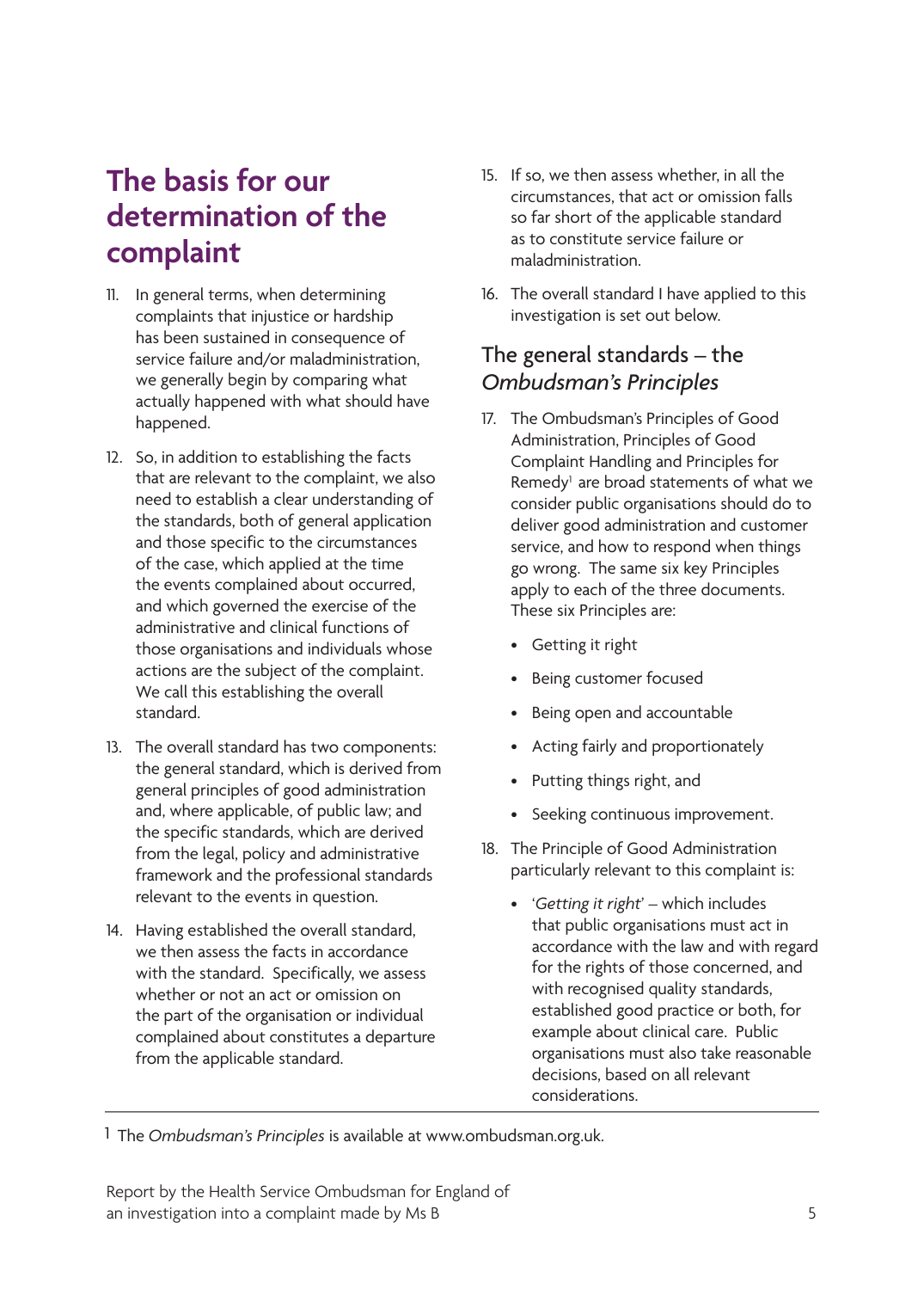## <span id="page-8-0"></span>**The basis for our determination of the complaint**

- 11. In general terms, when determining complaints that injustice or hardship has been sustained in consequence of service failure and/or maladministration, we generally begin by comparing what actually happened with what should have happened.
- 12. So, in addition to establishing the facts that are relevant to the complaint, we also need to establish a clear understanding of the standards, both of general application and those specific to the circumstances of the case, which applied at the time the events complained about occurred, and which governed the exercise of the administrative and clinical functions of those organisations and individuals whose actions are the subject of the complaint. We call this establishing the overall standard.
- 13. The overall standard has two components: the general standard, which is derived from general principles of good administration and, where applicable, of public law; and the specific standards, which are derived from the legal, policy and administrative framework and the professional standards relevant to the events in question.
- 14. Having established the overall standard, we then assess the facts in accordance with the standard. Specifically, we assess whether or not an act or omission on the part of the organisation or individual complained about constitutes a departure from the applicable standard.
- 15. If so, we then assess whether, in all the circumstances, that act or omission falls so far short of the applicable standard as to constitute service failure or maladministration.
- 16. The overall standard I have applied to this investigation is set out below.

### The general standards – the *Ombudsman's Principles*

- 17. The Ombudsman's Principles of Good Administration, Principles of Good Complaint Handling and Principles for Remedy<sup>1</sup> are broad statements of what we consider public organisations should do to deliver good administration and customer service, and how to respond when things go wrong. The same six key Principles apply to each of the three documents. These six Principles are:
	- • Getting it right
	- • Being customer focused
	- • Being open and accountable
	- • Acting fairly and proportionately
	- • Putting things right, and
	- • Seeking continuous improvement.
- 18. The Principle of Good Administration particularly relevant to this complaint is:
	- • '*Getting it right*' which includes that public organisations must act in accordance with the law and with regard for the rights of those concerned, and with recognised quality standards, established good practice or both, for example about clinical care. Public organisations must also take reasonable decisions, based on all relevant considerations.

1 The *Ombudsman's Principles* is available at www.ombudsman.org.uk.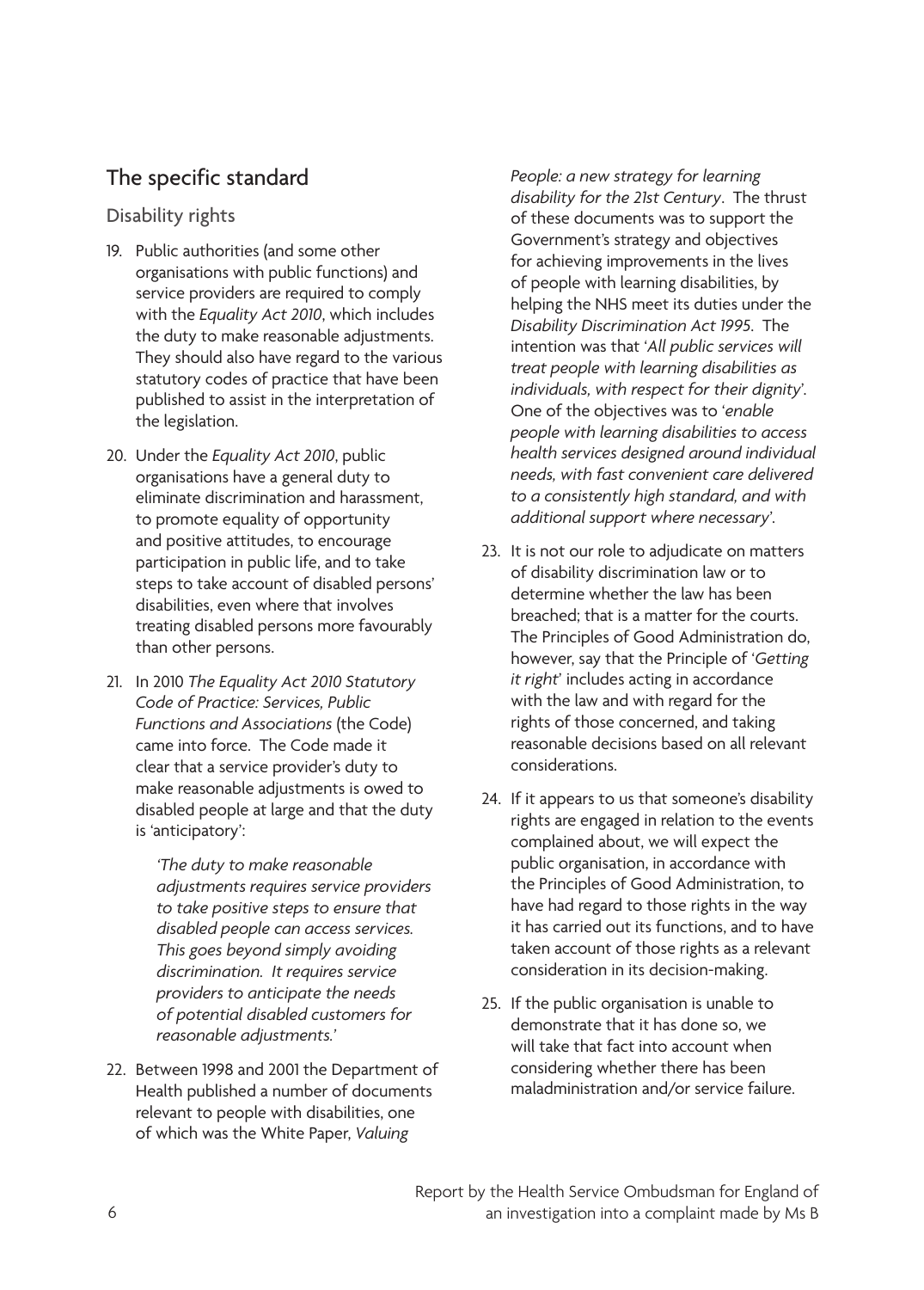### The specific standard

Disability rights

- 19. Public authorities (and some other organisations with public functions) and service providers are required to comply with the *Equality Act 2010*, which includes the duty to make reasonable adjustments. They should also have regard to the various statutory codes of practice that have been published to assist in the interpretation of the legislation.
- 20. Under the *Equality Act 2010*, public organisations have a general duty to eliminate discrimination and harassment, to promote equality of opportunity and positive attitudes, to encourage participation in public life, and to take steps to take account of disabled persons' disabilities, even where that involves treating disabled persons more favourably than other persons.
- 21. In 2010 *The Equality Act 2010 Statutory Code of Practice: Services, Public Functions and Associations* (the Code) came into force. The Code made it clear that a service provider's duty to make reasonable adjustments is owed to disabled people at large and that the duty is 'anticipatory':

*'The duty to make reasonable adjustments requires service providers to take positive steps to ensure that disabled people can access services. This goes beyond simply avoiding discrimination. It requires service providers to anticipate the needs of potential disabled customers for reasonable adjustments.'*

22. Between 1998 and 2001 the Department of Health published a number of documents relevant to people with disabilities, one of which was the White Paper, *Valuing* 

*People: a new strategy for learning disability for the 21st Century*. The thrust of these documents was to support the Government's strategy and objectives for achieving improvements in the lives of people with learning disabilities, by helping the NHS meet its duties under the *Disability Discrimination Act 1995*. The intention was that '*All public services will treat people with learning disabilities as individuals, with respect for their dignity*'. One of the objectives was to '*enable people with learning disabilities to access health services designed around individual needs, with fast convenient care delivered to a consistently high standard, and with additional support where necessary*'.

- 23. It is not our role to adjudicate on matters of disability discrimination law or to determine whether the law has been breached; that is a matter for the courts. The Principles of Good Administration do, however, say that the Principle of '*Getting it right*' includes acting in accordance with the law and with regard for the rights of those concerned, and taking reasonable decisions based on all relevant considerations.
- 24. If it appears to us that someone's disability rights are engaged in relation to the events complained about, we will expect the public organisation, in accordance with the Principles of Good Administration, to have had regard to those rights in the way it has carried out its functions, and to have taken account of those rights as a relevant consideration in its decision-making.
- 25. If the public organisation is unable to demonstrate that it has done so, we will take that fact into account when considering whether there has been maladministration and/or service failure.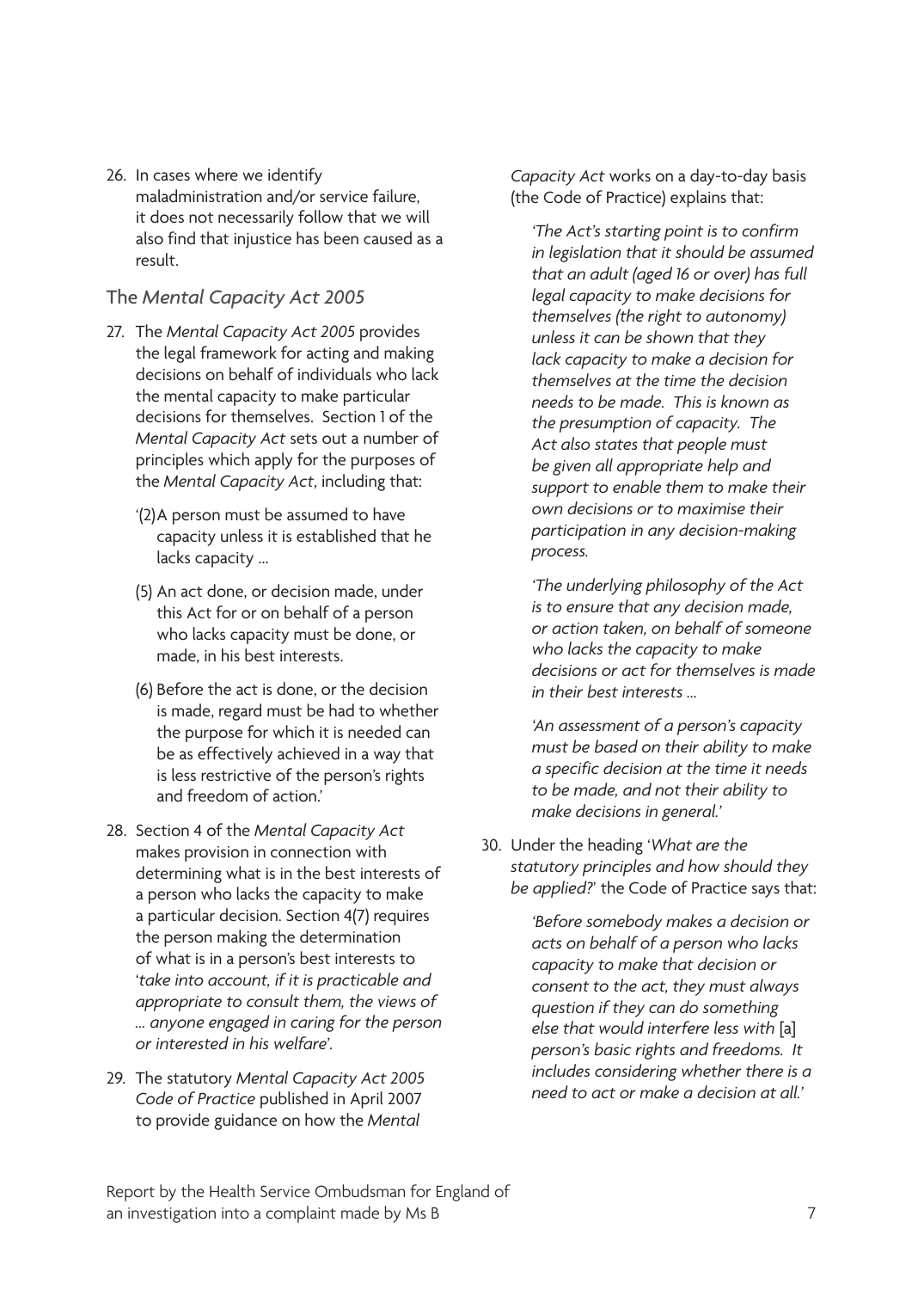26. In cases where we identify maladministration and/or service failure, it does not necessarily follow that we will also find that injustice has been caused as a result.

#### The *Mental Capacity Act 2005*

- 27. The *Mental Capacity Act 2005* provides the legal framework for acting and making decisions on behalf of individuals who lack the mental capacity to make particular decisions for themselves. Section 1 of the *Mental Capacity Act* sets out a number of principles which apply for the purposes of the *Mental Capacity Act*, including that:
	- '(2)A person must be assumed to have capacity unless it is established that he lacks capacity …
	- (5) An act done, or decision made, under this Act for or on behalf of a person who lacks capacity must be done, or made, in his best interests.
	- (6) Before the act is done, or the decision is made, regard must be had to whether the purpose for which it is needed can be as effectively achieved in a way that is less restrictive of the person's rights and freedom of action'
- 28. Section 4 of the *Mental Capacity Act*  makes provision in connection with determining what is in the best interests of a person who lacks the capacity to make a particular decision. Section 4(7) requires the person making the determination of what is in a person's best interests to '*take into account, if it is practicable and appropriate to consult them, the views of … anyone engaged in caring for the person or interested in his welfare*'.
- 29. The statutory *Mental Capacity Act 2005 Code of Practice* published in April 2007 to provide guidance on how the *Mental*

*Capacity Act* works on a day-to-day basis (the Code of Practice) explains that:

*'The Act's starting point is to confirm in legislation that it should be assumed that an adult (aged 16 or over) has full legal capacity to make decisions for themselves (the right to autonomy) unless it can be shown that they lack capacity to make a decision for themselves at the time the decision needs to be made. This is known as the presumption of capacity. The Act also states that people must be given all appropriate help and support to enable them to make their own decisions or to maximise their participation in any decision-making process.* 

*'The underlying philosophy of the Act is to ensure that any decision made, or action taken, on behalf of someone who lacks the capacity to make decisions or act for themselves is made in their best interests …*

*'An assessment of a person's capacity must be based on their ability to make a specific decision at the time it needs to be made, and not their ability to make decisions in general.'*

30. Under the heading '*What are the statutory principles and how should they be applied?*' the Code of Practice says that:

> *'Before somebody makes a decision or acts on behalf of a person who lacks capacity to make that decision or consent to the act, they must always question if they can do something else that would interfere less with* [a] *person's basic rights and freedoms. It includes considering whether there is a need to act or make a decision at all.'*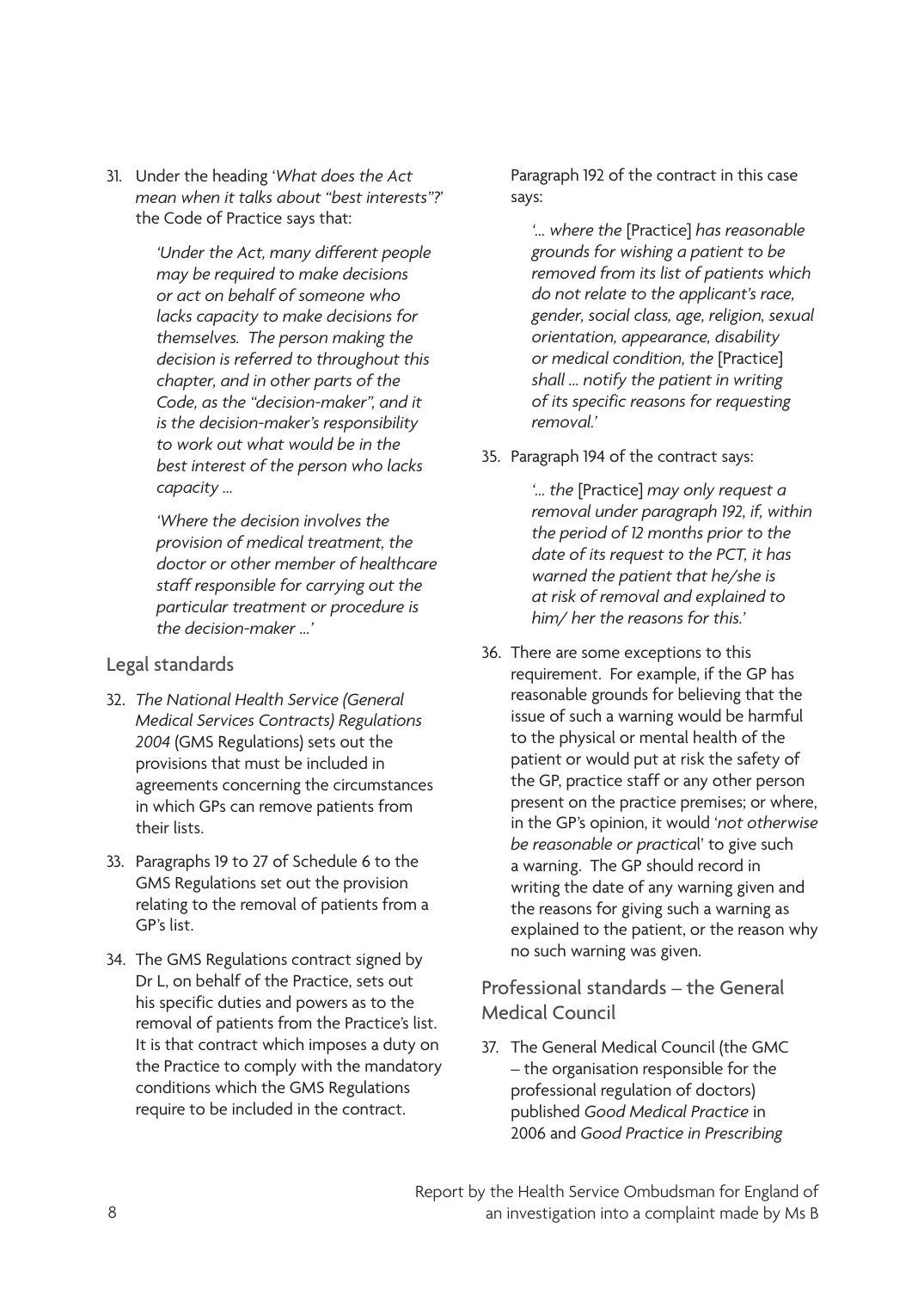31. Under the heading '*What does the Act mean when it talks about "best interests"?*' the Code of Practice says that:

> *'Under the Act, many different people may be required to make decisions or act on behalf of someone who lacks capacity to make decisions for themselves. The person making the decision is referred to throughout this chapter, and in other parts of the Code, as the "decision-maker", and it is the decision-maker's responsibility to work out what would be in the best interest of the person who lacks capacity …*

*'Where the decision involves the provision of medical treatment, the doctor or other member of healthcare staff responsible for carrying out the particular treatment or procedure is the decision-maker …'* 

#### Legal standards

- 32. *The National Health Service (General Medical Services Contracts) Regulations 2004* (GMS Regulations) sets out the provisions that must be included in agreements concerning the circumstances in which GPs can remove patients from their lists.
- 33. Paragraphs 19 to 27 of Schedule 6 to the GMS Regulations set out the provision relating to the removal of patients from a GP's list.
- 34. The GMS Regulations contract signed by Dr L, on behalf of the Practice, sets out his specific duties and powers as to the removal of patients from the Practice's list. It is that contract which imposes a duty on the Practice to comply with the mandatory conditions which the GMS Regulations require to be included in the contract.

Paragraph 192 of the contract in this case says:

*'… where the* [Practice] *has reasonable grounds for wishing a patient to be removed from its list of patients which do not relate to the applicant's race, gender, social class, age, religion, sexual orientation, appearance, disability or medical condition, the* [Practice] *shall … notify the patient in writing of its specific reasons for requesting removal.'*

35. Paragraph 194 of the contract says:

*'… the* [Practice] *may only request a removal under paragraph 192, if, within the period of 12 months prior to the date of its request to the PCT, it has warned the patient that he/she is at risk of removal and explained to him/ her the reasons for this.'*

36. There are some exceptions to this requirement. For example, if the GP has reasonable grounds for believing that the issue of such a warning would be harmful to the physical or mental health of the patient or would put at risk the safety of the GP, practice staff or any other person present on the practice premises; or where, in the GP's opinion, it would '*not otherwise be reasonable or practica*l' to give such a warning. The GP should record in writing the date of any warning given and the reasons for giving such a warning as explained to the patient, or the reason why no such warning was given.

Professional standards – the General Medical Council

37. The General Medical Council (the GMC – the organisation responsible for the professional regulation of doctors) published *Good Medical Practice* in 2006 and *Good Practice in Prescribing*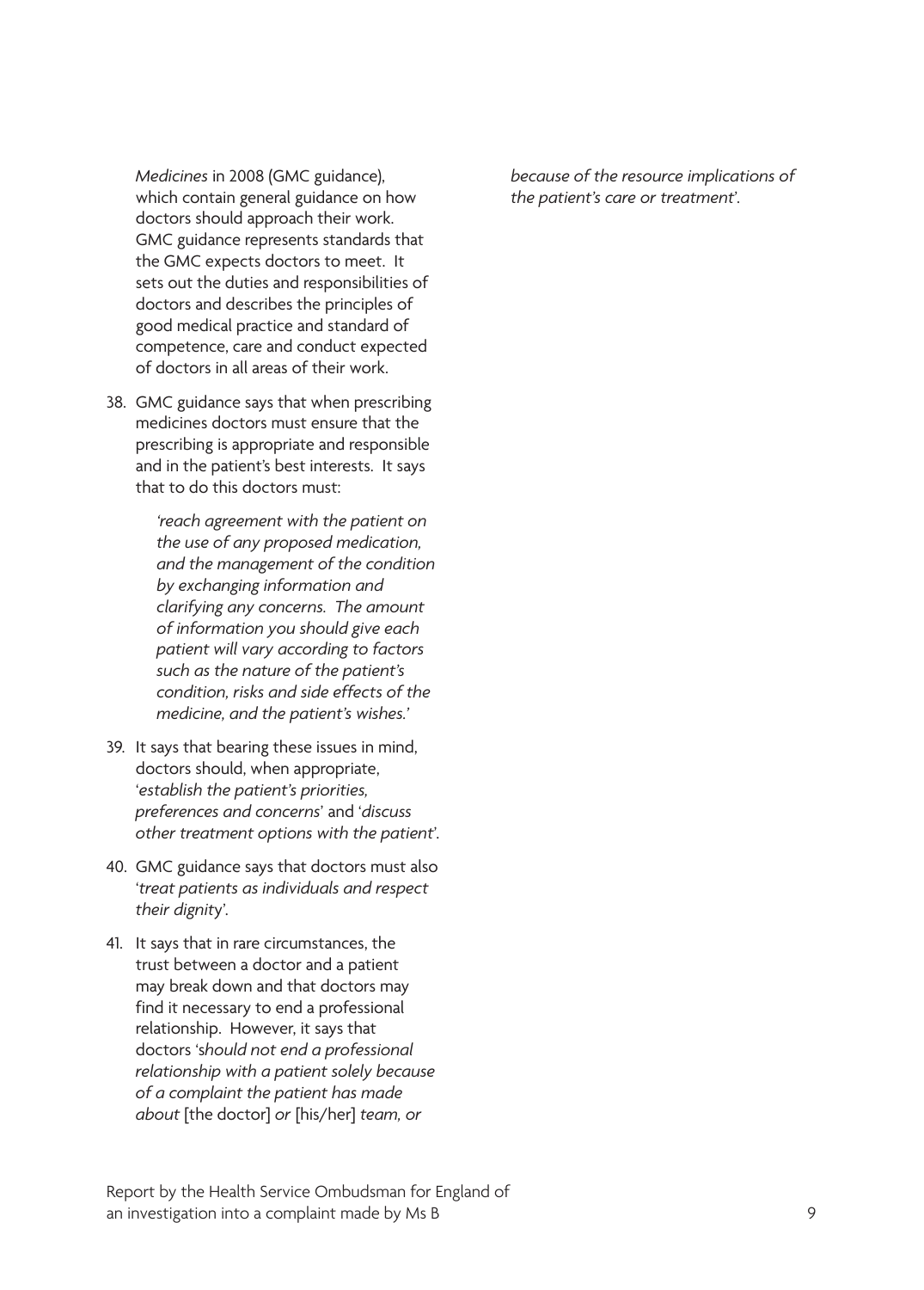*Medicines* in 2008 (GMC guidance), which contain general guidance on how doctors should approach their work. GMC guidance represents standards that the GMC expects doctors to meet. It sets out the duties and responsibilities of doctors and describes the principles of good medical practice and standard of competence, care and conduct expected of doctors in all areas of their work.

38. GMC guidance says that when prescribing medicines doctors must ensure that the prescribing is appropriate and responsible and in the patient's best interests. It says that to do this doctors must:

> *'reach agreement with the patient on the use of any proposed medication, and the management of the condition by exchanging information and clarifying any concerns. The amount of information you should give each patient will vary according to factors such as the nature of the patient's condition, risks and side effects of the medicine, and the patient's wishes.'*

- 39. It says that bearing these issues in mind, doctors should, when appropriate, '*establish the patient's priorities, preferences and concerns*' and '*discuss other treatment options with the patient*'.
- 40. GMC guidance says that doctors must also '*treat patients as individuals and respect their dignit*y'.
- 41. It says that in rare circumstances, the trust between a doctor and a patient may break down and that doctors may find it necessary to end a professional relationship. However, it says that doctors 's*hould not end a professional relationship with a patient solely because of a complaint the patient has made about* [the doctor] *or* [his/her] *team, or*

*because of the resource implications of the patient's care or treatment*'.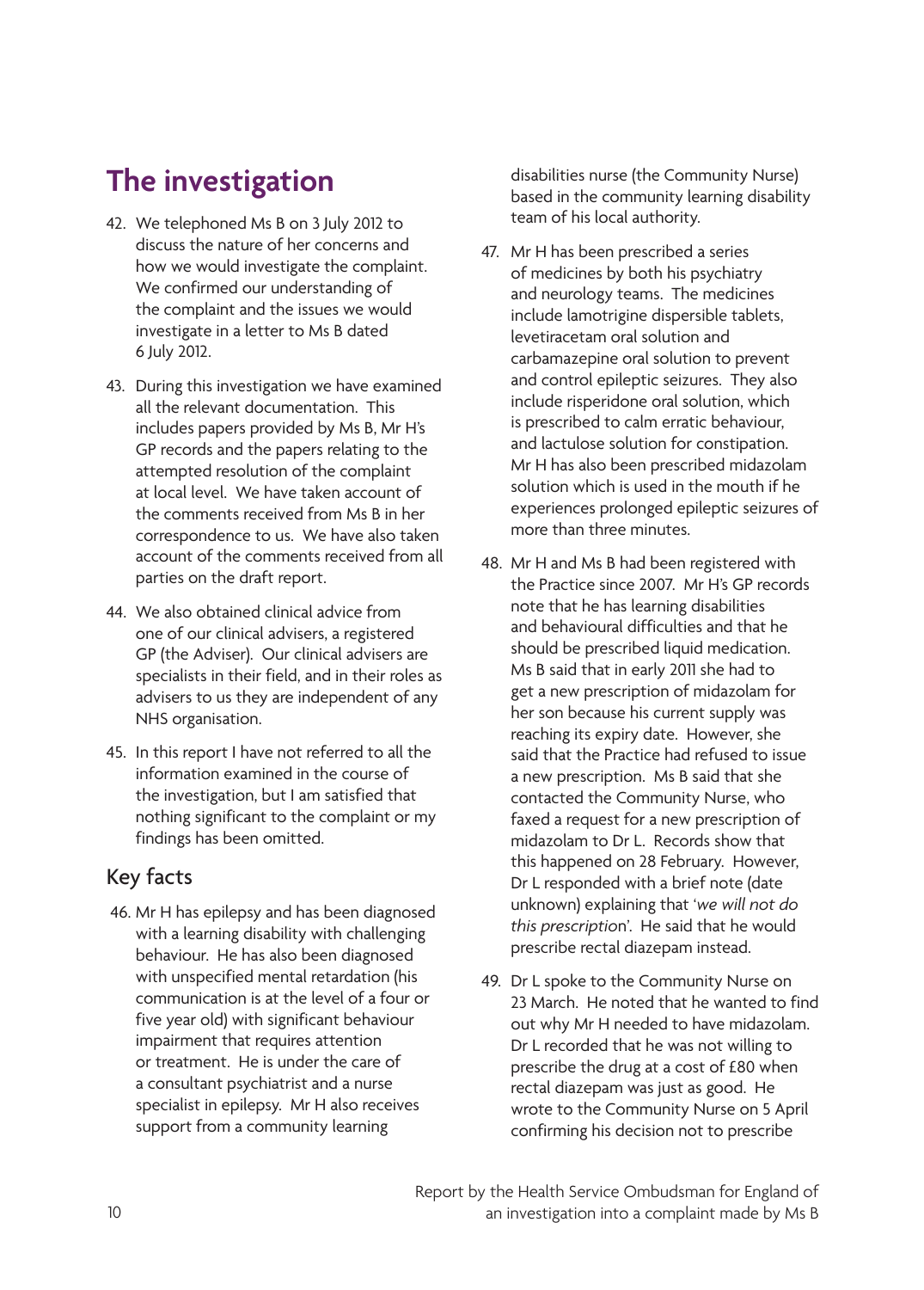# <span id="page-13-0"></span>**The investigation**

- 42. We telephoned Ms B on 3 July 2012 to discuss the nature of her concerns and how we would investigate the complaint. We confirmed our understanding of the complaint and the issues we would investigate in a letter to Ms B dated 6 July 2012.
- 43. During this investigation we have examined all the relevant documentation. This includes papers provided by Ms B, Mr H's GP records and the papers relating to the attempted resolution of the complaint at local level. We have taken account of the comments received from Ms B in her correspondence to us. We have also taken account of the comments received from all parties on the draft report.
- 44. We also obtained clinical advice from one of our clinical advisers, a registered GP (the Adviser). Our clinical advisers are specialists in their field, and in their roles as advisers to us they are independent of any NHS organisation.
- 45. In this report I have not referred to all the information examined in the course of the investigation, but I am satisfied that nothing significant to the complaint or my findings has been omitted.

### Key facts

 46. Mr H has epilepsy and has been diagnosed with a learning disability with challenging behaviour. He has also been diagnosed with unspecified mental retardation (his communication is at the level of a four or five year old) with significant behaviour impairment that requires attention or treatment. He is under the care of a consultant psychiatrist and a nurse specialist in epilepsy. Mr H also receives support from a community learning

disabilities nurse (the Community Nurse) based in the community learning disability team of his local authority.

- 47. Mr H has been prescribed a series of medicines by both his psychiatry and neurology teams. The medicines include lamotrigine dispersible tablets, levetiracetam oral solution and carbamazepine oral solution to prevent and control epileptic seizures. They also include risperidone oral solution, which is prescribed to calm erratic behaviour, and lactulose solution for constipation. Mr H has also been prescribed midazolam solution which is used in the mouth if he experiences prolonged epileptic seizures of more than three minutes.
- 48. Mr H and Ms B had been registered with the Practice since 2007. Mr H's GP records note that he has learning disabilities and behavioural difficulties and that he should be prescribed liquid medication. Ms B said that in early 2011 she had to get a new prescription of midazolam for her son because his current supply was reaching its expiry date. However, she said that the Practice had refused to issue a new prescription. Ms B said that she contacted the Community Nurse, who faxed a request for a new prescription of midazolam to Dr L. Records show that this happened on 28 February. However, Dr L responded with a brief note (date unknown) explaining that '*we will not do this prescriptio*n'. He said that he would prescribe rectal diazepam instead.
- 49. Dr L spoke to the Community Nurse on 23 March. He noted that he wanted to find out why Mr H needed to have midazolam. Dr L recorded that he was not willing to prescribe the drug at a cost of £80 when rectal diazepam was just as good. He wrote to the Community Nurse on 5 April confirming his decision not to prescribe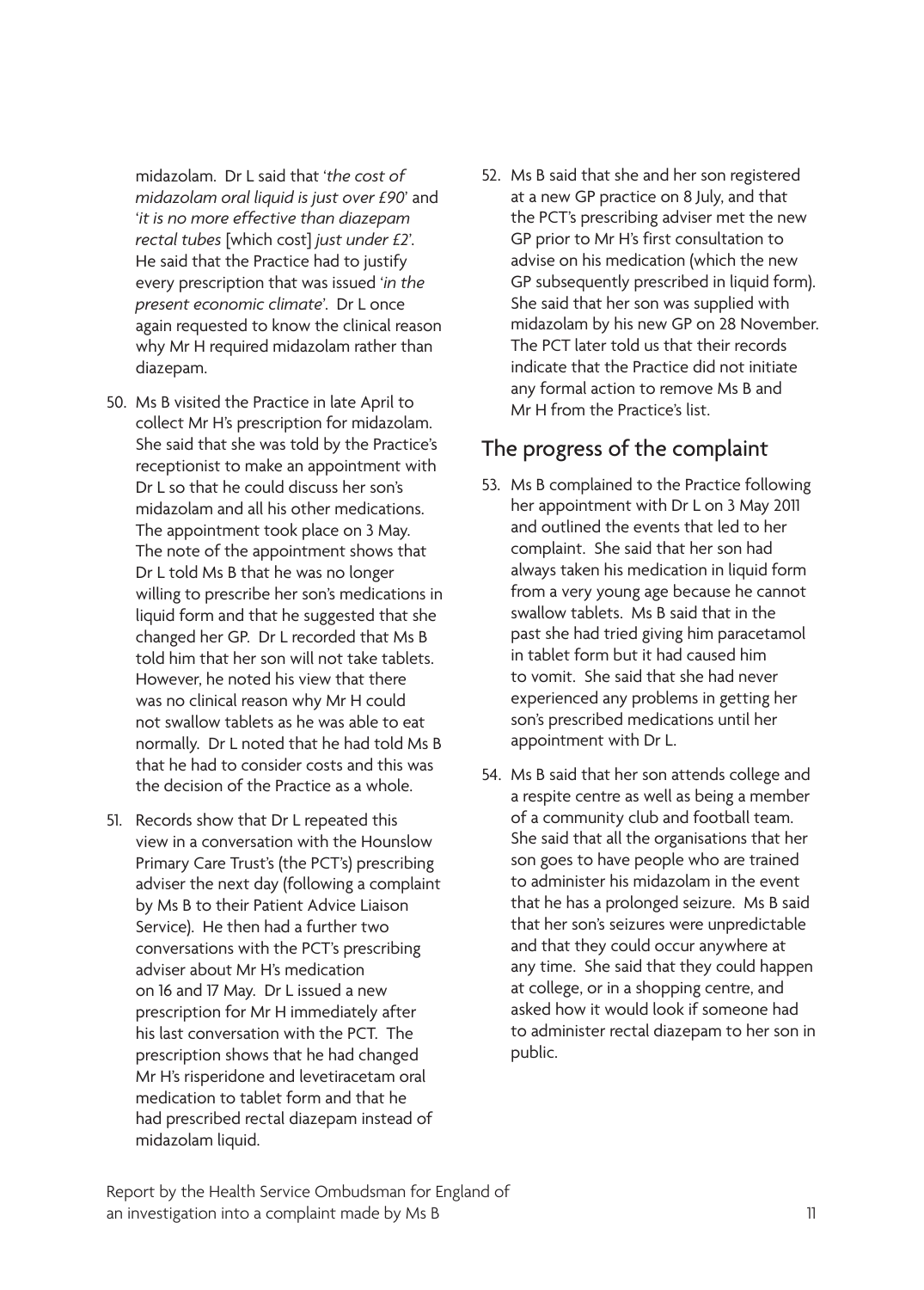midazolam. Dr L said that '*the cost of midazolam oral liquid is just over £90*' and '*it is no more effective than diazepam rectal tubes* [which cost] *just under £2*'. He said that the Practice had to justify every prescription that was issued '*in the present economic climate*'. Dr L once again requested to know the clinical reason why Mr H required midazolam rather than diazepam.

- 50. Ms B visited the Practice in late April to collect Mr H's prescription for midazolam. She said that she was told by the Practice's receptionist to make an appointment with Dr L so that he could discuss her son's midazolam and all his other medications. The appointment took place on 3 May. The note of the appointment shows that Dr L told Ms B that he was no longer willing to prescribe her son's medications in liquid form and that he suggested that she changed her GP. Dr L recorded that Ms B told him that her son will not take tablets. However, he noted his view that there was no clinical reason why Mr H could not swallow tablets as he was able to eat normally. Dr L noted that he had told Ms B that he had to consider costs and this was the decision of the Practice as a whole.
- 51. Records show that Dr L repeated this view in a conversation with the Hounslow Primary Care Trust's (the PCT's) prescribing adviser the next day (following a complaint by Ms B to their Patient Advice Liaison Service). He then had a further two conversations with the PCT's prescribing adviser about Mr H's medication on 16 and 17 May. Dr L issued a new prescription for Mr H immediately after his last conversation with the PCT. The prescription shows that he had changed Mr H's risperidone and levetiracetam oral medication to tablet form and that he had prescribed rectal diazepam instead of midazolam liquid.

52. Ms B said that she and her son registered at a new GP practice on 8 July, and that the PCT's prescribing adviser met the new GP prior to Mr H's first consultation to advise on his medication (which the new GP subsequently prescribed in liquid form). She said that her son was supplied with midazolam by his new GP on 28 November. The PCT later told us that their records indicate that the Practice did not initiate any formal action to remove Ms B and Mr H from the Practice's list.

### The progress of the complaint

- 53. Ms B complained to the Practice following her appointment with Dr L on 3 May 2011 and outlined the events that led to her complaint. She said that her son had always taken his medication in liquid form from a very young age because he cannot swallow tablets. Ms B said that in the past she had tried giving him paracetamol in tablet form but it had caused him to vomit. She said that she had never experienced any problems in getting her son's prescribed medications until her appointment with Dr L.
- 54. Ms B said that her son attends college and a respite centre as well as being a member of a community club and football team. She said that all the organisations that her son goes to have people who are trained to administer his midazolam in the event that he has a prolonged seizure. Ms B said that her son's seizures were unpredictable and that they could occur anywhere at any time. She said that they could happen at college, or in a shopping centre, and asked how it would look if someone had to administer rectal diazepam to her son in public.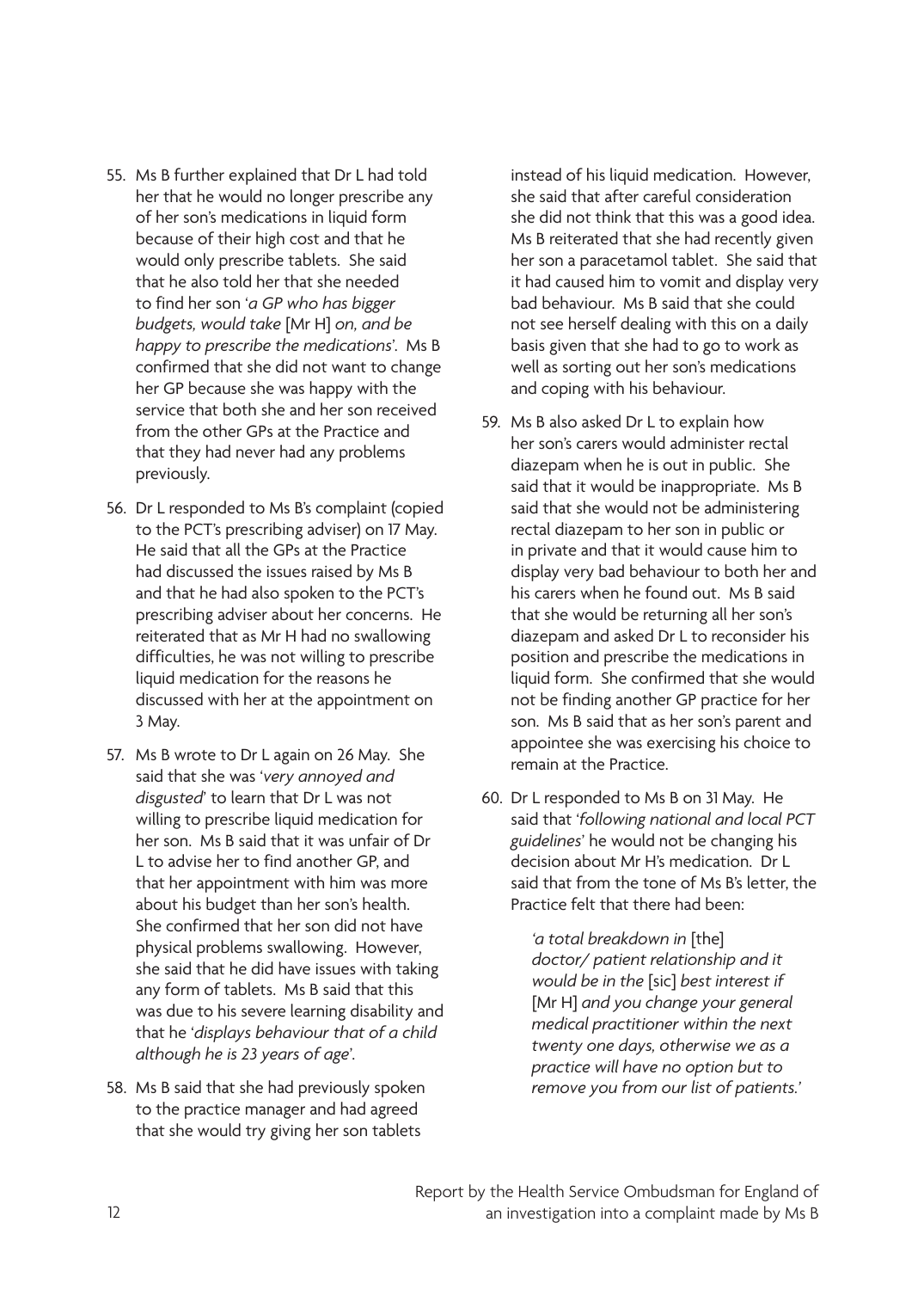- 55. Ms B further explained that Dr L had told her that he would no longer prescribe any of her son's medications in liquid form because of their high cost and that he would only prescribe tablets. She said that he also told her that she needed to find her son '*a GP who has bigger budgets, would take* [Mr H] *on, and be happy to prescribe the medications*'. Ms B confirmed that she did not want to change her GP because she was happy with the service that both she and her son received from the other GPs at the Practice and that they had never had any problems previously.
- 56. Dr L responded to Ms B's complaint (copied to the PCT's prescribing adviser) on 17 May. He said that all the GPs at the Practice had discussed the issues raised by Ms B and that he had also spoken to the PCT's prescribing adviser about her concerns. He reiterated that as Mr H had no swallowing difficulties, he was not willing to prescribe liquid medication for the reasons he discussed with her at the appointment on 3 May.
- 57. Ms B wrote to Dr L again on 26 May. She said that she was '*very annoyed and disgusted*' to learn that Dr L was not willing to prescribe liquid medication for her son. Ms B said that it was unfair of Dr L to advise her to find another GP, and that her appointment with him was more about his budget than her son's health. She confirmed that her son did not have physical problems swallowing. However, she said that he did have issues with taking any form of tablets. Ms B said that this was due to his severe learning disability and that he '*displays behaviour that of a child although he is 23 years of age*'.
- 58. Ms B said that she had previously spoken to the practice manager and had agreed that she would try giving her son tablets

instead of his liquid medication. However, she said that after careful consideration she did not think that this was a good idea. Ms B reiterated that she had recently given her son a paracetamol tablet. She said that it had caused him to vomit and display very bad behaviour. Ms B said that she could not see herself dealing with this on a daily basis given that she had to go to work as well as sorting out her son's medications and coping with his behaviour.

- 59. Ms B also asked Dr L to explain how her son's carers would administer rectal diazepam when he is out in public. She said that it would be inappropriate. Ms B said that she would not be administering rectal diazepam to her son in public or in private and that it would cause him to display very bad behaviour to both her and his carers when he found out. Ms B said that she would be returning all her son's diazepam and asked Dr L to reconsider his position and prescribe the medications in liquid form. She confirmed that she would not be finding another GP practice for her son. Ms B said that as her son's parent and appointee she was exercising his choice to remain at the Practice.
- 60. Dr L responded to Ms B on 31 May. He said that '*following national and local PCT guidelines*' he would not be changing his decision about Mr H's medication. Dr L said that from the tone of Ms B's letter, the Practice felt that there had been:

*'a total breakdown in* [the] *doctor/ patient relationship and it would be in the* [sic] *best interest if* [Mr H] *and you change your general medical practitioner within the next twenty one days, otherwise we as a practice will have no option but to remove you from our list of patients.'*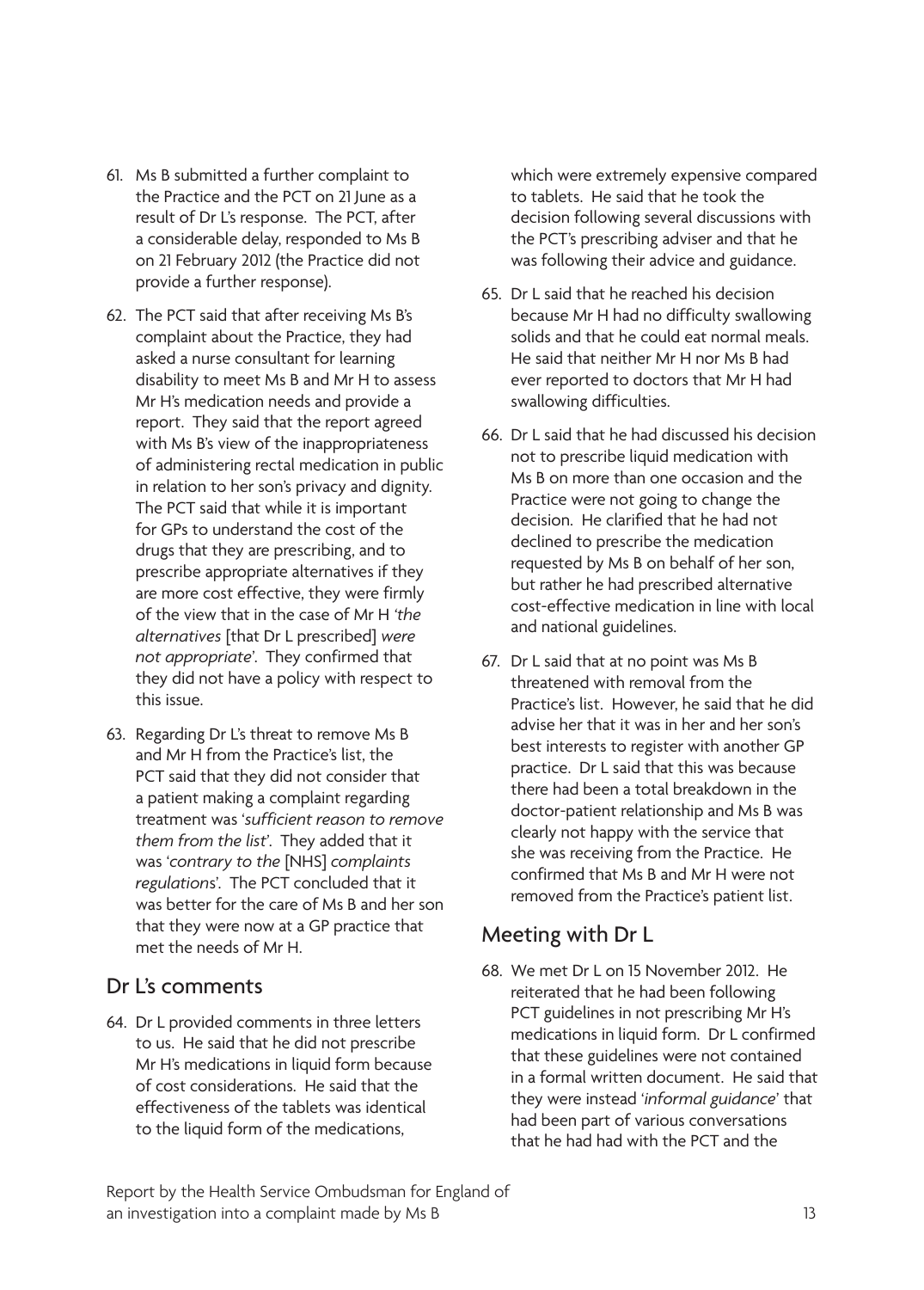- 61. Ms B submitted a further complaint to the Practice and the PCT on 21 June as a result of Dr L's response. The PCT, after a considerable delay, responded to Ms B on 21 February 2012 (the Practice did not provide a further response).
- 62. The PCT said that after receiving Ms B's complaint about the Practice, they had asked a nurse consultant for learning disability to meet Ms B and Mr H to assess Mr H's medication needs and provide a report. They said that the report agreed with Ms B's view of the inappropriateness of administering rectal medication in public in relation to her son's privacy and dignity. The PCT said that while it is important for GPs to understand the cost of the drugs that they are prescribing, and to prescribe appropriate alternatives if they are more cost effective, they were firmly of the view that in the case of Mr H *'the alternatives* [that Dr L prescribed] *were not appropriate*'. They confirmed that they did not have a policy with respect to this issue.
- 63. Regarding Dr L's threat to remove Ms B and Mr H from the Practice's list, the PCT said that they did not consider that a patient making a complaint regarding treatment was '*sufficient reason to remove them from the list*'. They added that it was '*contrary to the* [NHS] *complaints regulation*s'. The PCT concluded that it was better for the care of Ms B and her son that they were now at a GP practice that met the needs of Mr H.

#### Dr L's comments

64. Dr L provided comments in three letters to us. He said that he did not prescribe Mr H's medications in liquid form because of cost considerations. He said that the effectiveness of the tablets was identical to the liquid form of the medications,

which were extremely expensive compared to tablets. He said that he took the decision following several discussions with the PCT's prescribing adviser and that he was following their advice and guidance.

- 65. Dr L said that he reached his decision because Mr H had no difficulty swallowing solids and that he could eat normal meals. He said that neither Mr H nor Ms B had ever reported to doctors that Mr H had swallowing difficulties.
- 66. Dr L said that he had discussed his decision not to prescribe liquid medication with Ms B on more than one occasion and the Practice were not going to change the decision. He clarified that he had not declined to prescribe the medication requested by Ms B on behalf of her son, but rather he had prescribed alternative cost-effective medication in line with local and national guidelines.
- 67. Dr L said that at no point was Ms B threatened with removal from the Practice's list. However, he said that he did advise her that it was in her and her son's best interests to register with another GP practice. Dr L said that this was because there had been a total breakdown in the doctor-patient relationship and Ms B was clearly not happy with the service that she was receiving from the Practice. He confirmed that Ms B and Mr H were not removed from the Practice's patient list.

#### Meeting with Dr L

68. We met Dr L on 15 November 2012. He reiterated that he had been following PCT guidelines in not prescribing Mr H's medications in liquid form. Dr L confirmed that these guidelines were not contained in a formal written document. He said that they were instead '*informal guidance*' that had been part of various conversations that he had had with the PCT and the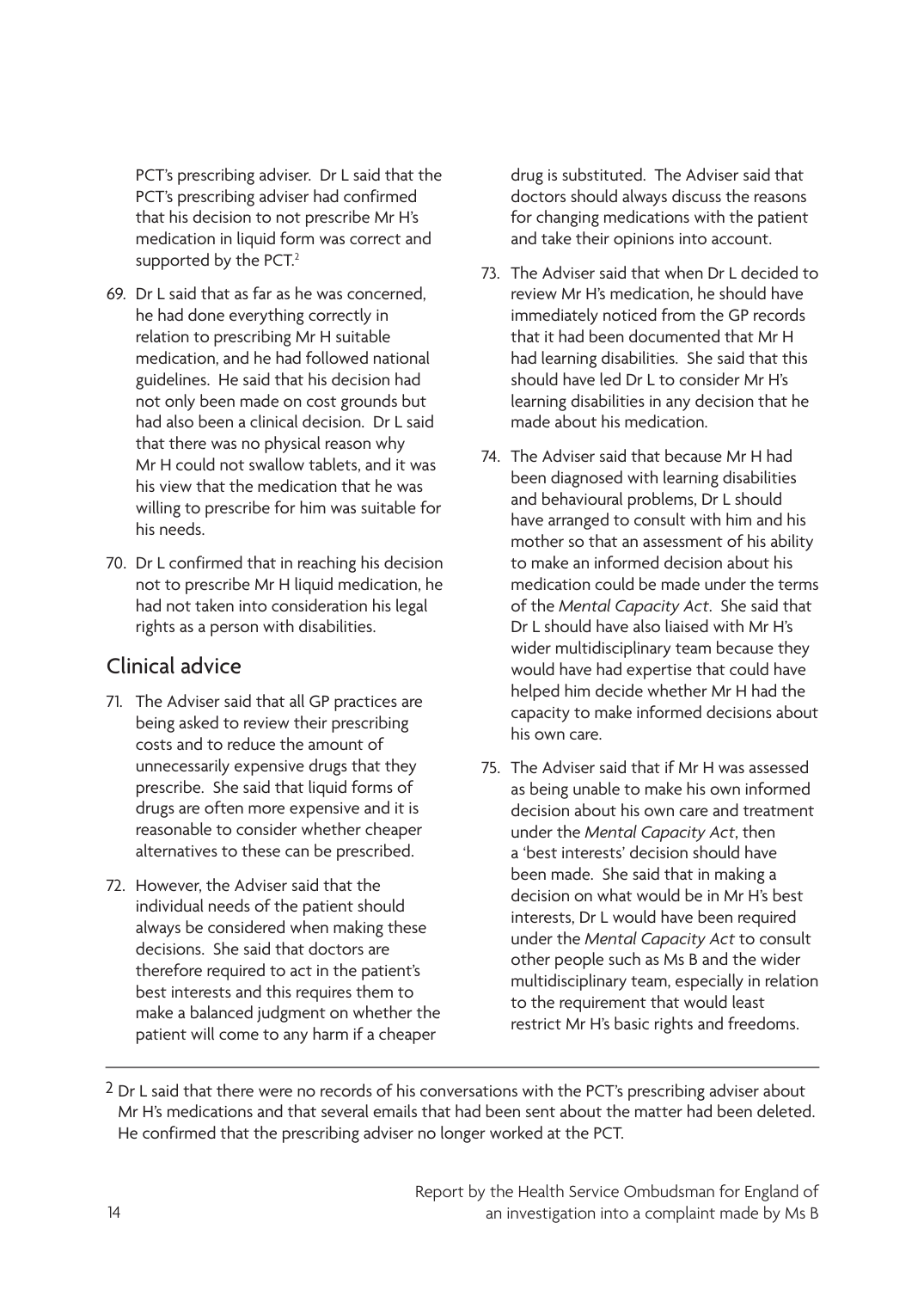PCT's prescribing adviser. Dr L said that the PCT's prescribing adviser had confirmed that his decision to not prescribe Mr H's medication in liquid form was correct and supported by the PCT.<sup>2</sup>

- 69. Dr L said that as far as he was concerned, he had done everything correctly in relation to prescribing Mr H suitable medication, and he had followed national guidelines. He said that his decision had not only been made on cost grounds but had also been a clinical decision. Dr L said that there was no physical reason why Mr H could not swallow tablets, and it was his view that the medication that he was willing to prescribe for him was suitable for his needs.
- 70. Dr L confirmed that in reaching his decision not to prescribe Mr H liquid medication, he had not taken into consideration his legal rights as a person with disabilities.

### Clinical advice

- 71. The Adviser said that all GP practices are being asked to review their prescribing costs and to reduce the amount of unnecessarily expensive drugs that they prescribe. She said that liquid forms of drugs are often more expensive and it is reasonable to consider whether cheaper alternatives to these can be prescribed.
- 72. However, the Adviser said that the individual needs of the patient should always be considered when making these decisions. She said that doctors are therefore required to act in the patient's best interests and this requires them to make a balanced judgment on whether the patient will come to any harm if a cheaper

drug is substituted. The Adviser said that doctors should always discuss the reasons for changing medications with the patient and take their opinions into account.

- 73. The Adviser said that when Dr L decided to review Mr H's medication, he should have immediately noticed from the GP records that it had been documented that Mr H had learning disabilities. She said that this should have led Dr L to consider Mr H's learning disabilities in any decision that he made about his medication.
- 74. The Adviser said that because Mr H had been diagnosed with learning disabilities and behavioural problems, Dr L should have arranged to consult with him and his mother so that an assessment of his ability to make an informed decision about his medication could be made under the terms of the *Mental Capacity Act*. She said that Dr L should have also liaised with Mr H's wider multidisciplinary team because they would have had expertise that could have helped him decide whether Mr H had the capacity to make informed decisions about his own care.
- 75. The Adviser said that if Mr H was assessed as being unable to make his own informed decision about his own care and treatment under the *Mental Capacity Act*, then a 'best interests' decision should have been made. She said that in making a decision on what would be in Mr H's best interests, Dr L would have been required under the *Mental Capacity Act* to consult other people such as Ms B and the wider multidisciplinary team, especially in relation to the requirement that would least restrict Mr H's basic rights and freedoms.

2 Dr L said that there were no records of his conversations with the PCT's prescribing adviser about Mr H's medications and that several emails that had been sent about the matter had been deleted. He confirmed that the prescribing adviser no longer worked at the PCT.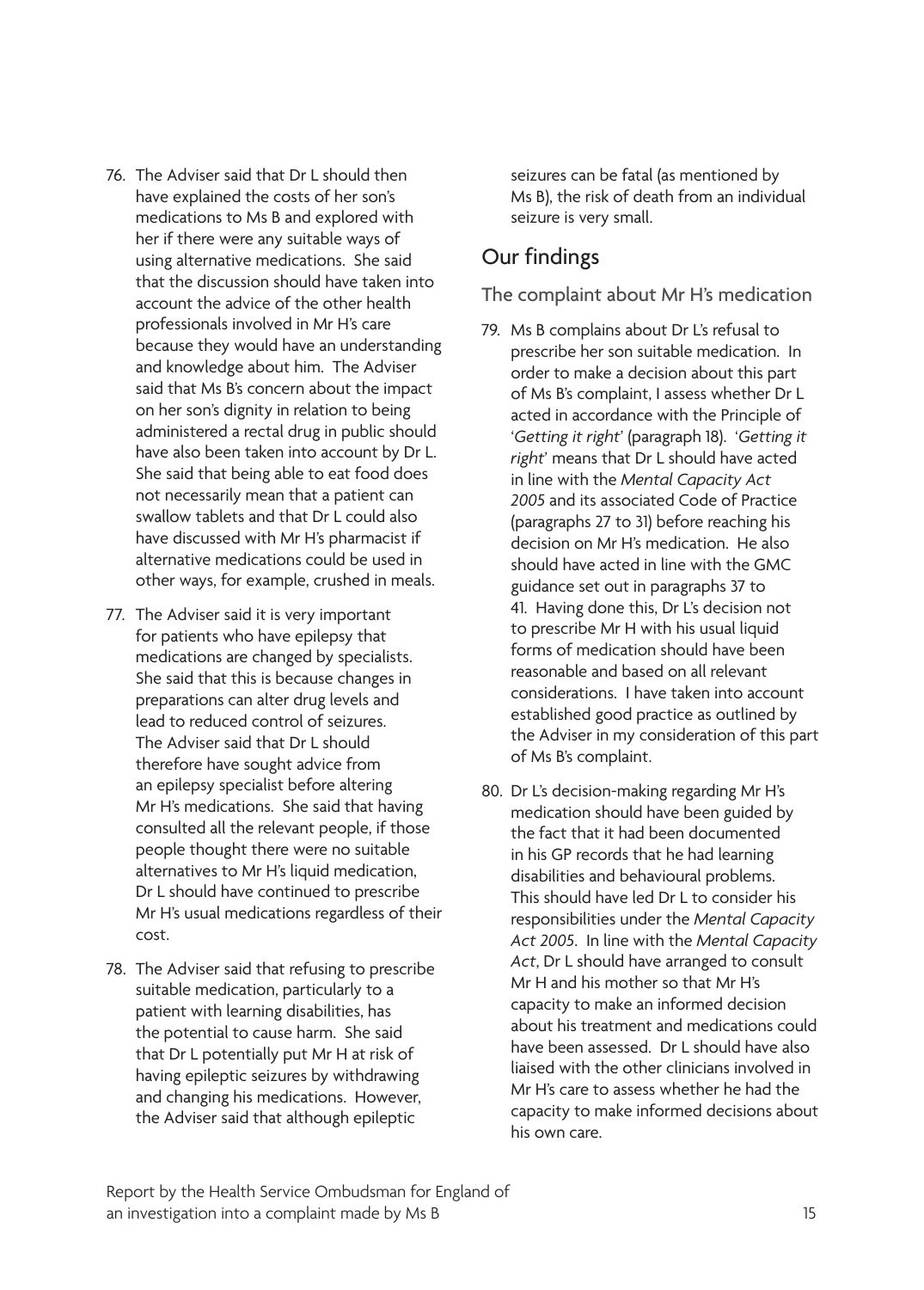- 76. The Adviser said that Dr L should then have explained the costs of her son's medications to Ms B and explored with her if there were any suitable ways of using alternative medications. She said that the discussion should have taken into account the advice of the other health professionals involved in Mr H's care because they would have an understanding and knowledge about him. The Adviser said that Ms B's concern about the impact on her son's dignity in relation to being administered a rectal drug in public should have also been taken into account by Dr L. She said that being able to eat food does not necessarily mean that a patient can swallow tablets and that Dr L could also have discussed with Mr H's pharmacist if alternative medications could be used in other ways, for example, crushed in meals.
- 77. The Adviser said it is very important for patients who have epilepsy that medications are changed by specialists. She said that this is because changes in preparations can alter drug levels and lead to reduced control of seizures. The Adviser said that Dr L should therefore have sought advice from an epilepsy specialist before altering Mr H's medications. She said that having consulted all the relevant people, if those people thought there were no suitable alternatives to Mr H's liquid medication, Dr L should have continued to prescribe Mr H's usual medications regardless of their cost.
- 78. The Adviser said that refusing to prescribe suitable medication, particularly to a patient with learning disabilities, has the potential to cause harm. She said that Dr L potentially put Mr H at risk of having epileptic seizures by withdrawing and changing his medications. However, the Adviser said that although epileptic

seizures can be fatal (as mentioned by Ms B), the risk of death from an individual seizure is very small.

### Our findings

The complaint about Mr H's medication

- 79. Ms B complains about Dr L's refusal to prescribe her son suitable medication. In order to make a decision about this part of Ms B's complaint, I assess whether Dr L acted in accordance with the Principle of '*Getting it right*' (paragraph 18). '*Getting it right*' means that Dr L should have acted in line with the *Mental Capacity Act 2005* and its associated Code of Practice (paragraphs 27 to 31) before reaching his decision on Mr H's medication. He also should have acted in line with the GMC guidance set out in paragraphs 37 to 41. Having done this, Dr L's decision not to prescribe Mr H with his usual liquid forms of medication should have been reasonable and based on all relevant considerations. I have taken into account established good practice as outlined by the Adviser in my consideration of this part of Ms B's complaint.
- 80. Dr L's decision-making regarding Mr H's medication should have been guided by the fact that it had been documented in his GP records that he had learning disabilities and behavioural problems. This should have led Dr L to consider his responsibilities under the *Mental Capacity Act 2005*. In line with the *Mental Capacity Act*, Dr L should have arranged to consult Mr H and his mother so that Mr H's capacity to make an informed decision about his treatment and medications could have been assessed. Dr L should have also liaised with the other clinicians involved in Mr H's care to assess whether he had the capacity to make informed decisions about his own care.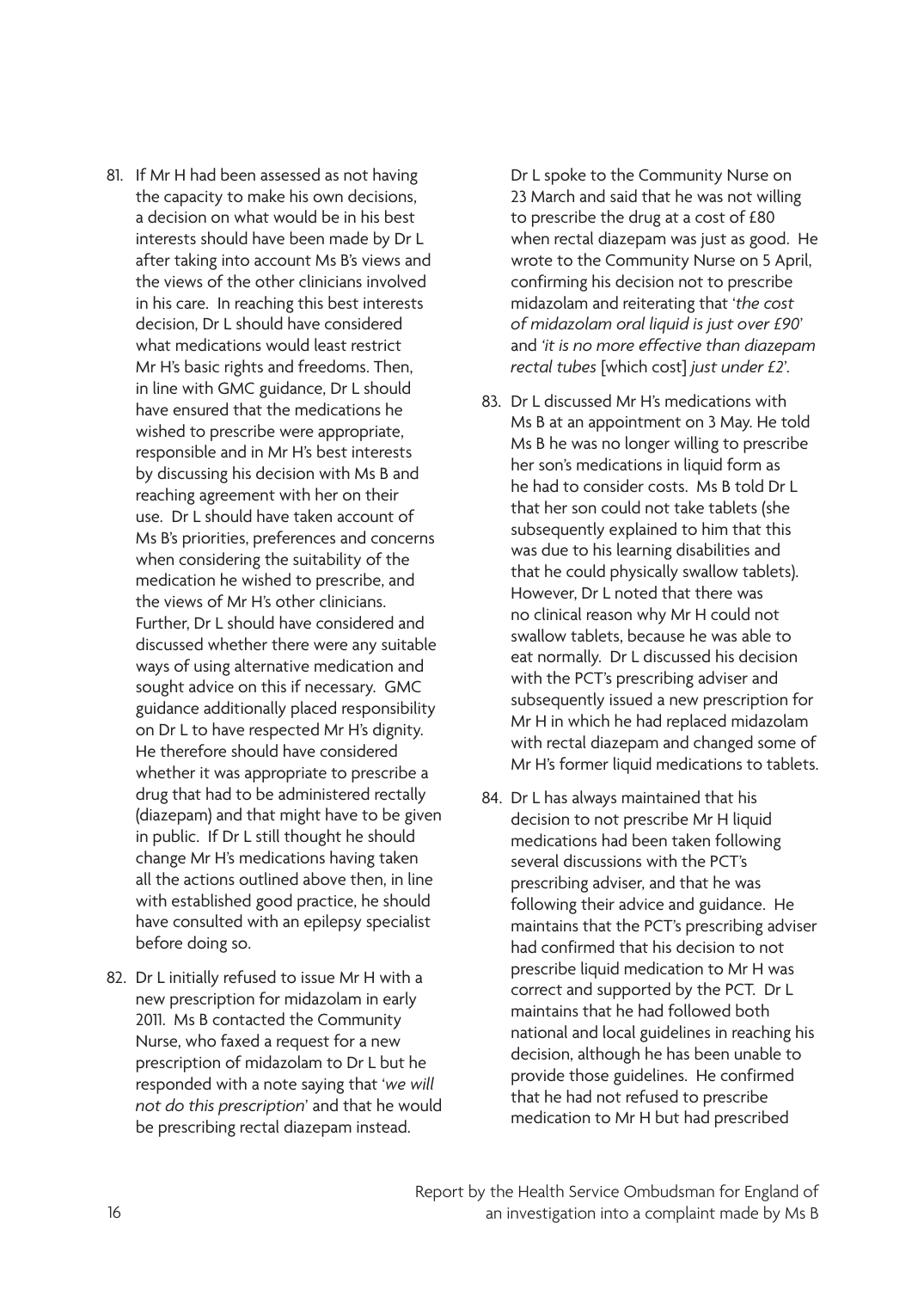- 81. If Mr H had been assessed as not having the capacity to make his own decisions, a decision on what would be in his best interests should have been made by Dr L after taking into account Ms B's views and the views of the other clinicians involved in his care. In reaching this best interests decision, Dr L should have considered what medications would least restrict Mr H's basic rights and freedoms. Then, in line with GMC guidance, Dr L should have ensured that the medications he wished to prescribe were appropriate, responsible and in Mr H's best interests by discussing his decision with Ms B and reaching agreement with her on their use. Dr L should have taken account of Ms B's priorities, preferences and concerns when considering the suitability of the medication he wished to prescribe, and the views of Mr H's other clinicians. Further, Dr L should have considered and discussed whether there were any suitable ways of using alternative medication and sought advice on this if necessary. GMC guidance additionally placed responsibility on Dr L to have respected Mr H's dignity. He therefore should have considered whether it was appropriate to prescribe a drug that had to be administered rectally (diazepam) and that might have to be given in public. If Dr L still thought he should change Mr H's medications having taken all the actions outlined above then, in line with established good practice, he should have consulted with an epilepsy specialist before doing so.
- 82. Dr L initially refused to issue Mr H with a new prescription for midazolam in early 2011. Ms B contacted the Community Nurse, who faxed a request for a new prescription of midazolam to Dr L but he responded with a note saying that '*we will not do this prescription*' and that he would be prescribing rectal diazepam instead.

Dr L spoke to the Community Nurse on 23 March and said that he was not willing to prescribe the drug at a cost of £80 when rectal diazepam was just as good. He wrote to the Community Nurse on 5 April, confirming his decision not to prescribe midazolam and reiterating that '*the cost of midazolam oral liquid is just over £90*' and *'it is no more effective than diazepam rectal tubes* [which cost] *just under £2*'.

- 83. Dr L discussed Mr H's medications with Ms B at an appointment on 3 May. He told Ms B he was no longer willing to prescribe her son's medications in liquid form as he had to consider costs. Ms B told Dr L that her son could not take tablets (she subsequently explained to him that this was due to his learning disabilities and that he could physically swallow tablets). However, Dr L noted that there was no clinical reason why Mr H could not swallow tablets, because he was able to eat normally. Dr L discussed his decision with the PCT's prescribing adviser and subsequently issued a new prescription for Mr H in which he had replaced midazolam with rectal diazepam and changed some of Mr H's former liquid medications to tablets.
- 84. Dr L has always maintained that his decision to not prescribe Mr H liquid medications had been taken following several discussions with the PCT's prescribing adviser, and that he was following their advice and guidance. He maintains that the PCT's prescribing adviser had confirmed that his decision to not prescribe liquid medication to Mr H was correct and supported by the PCT. Dr L maintains that he had followed both national and local guidelines in reaching his decision, although he has been unable to provide those guidelines. He confirmed that he had not refused to prescribe medication to Mr H but had prescribed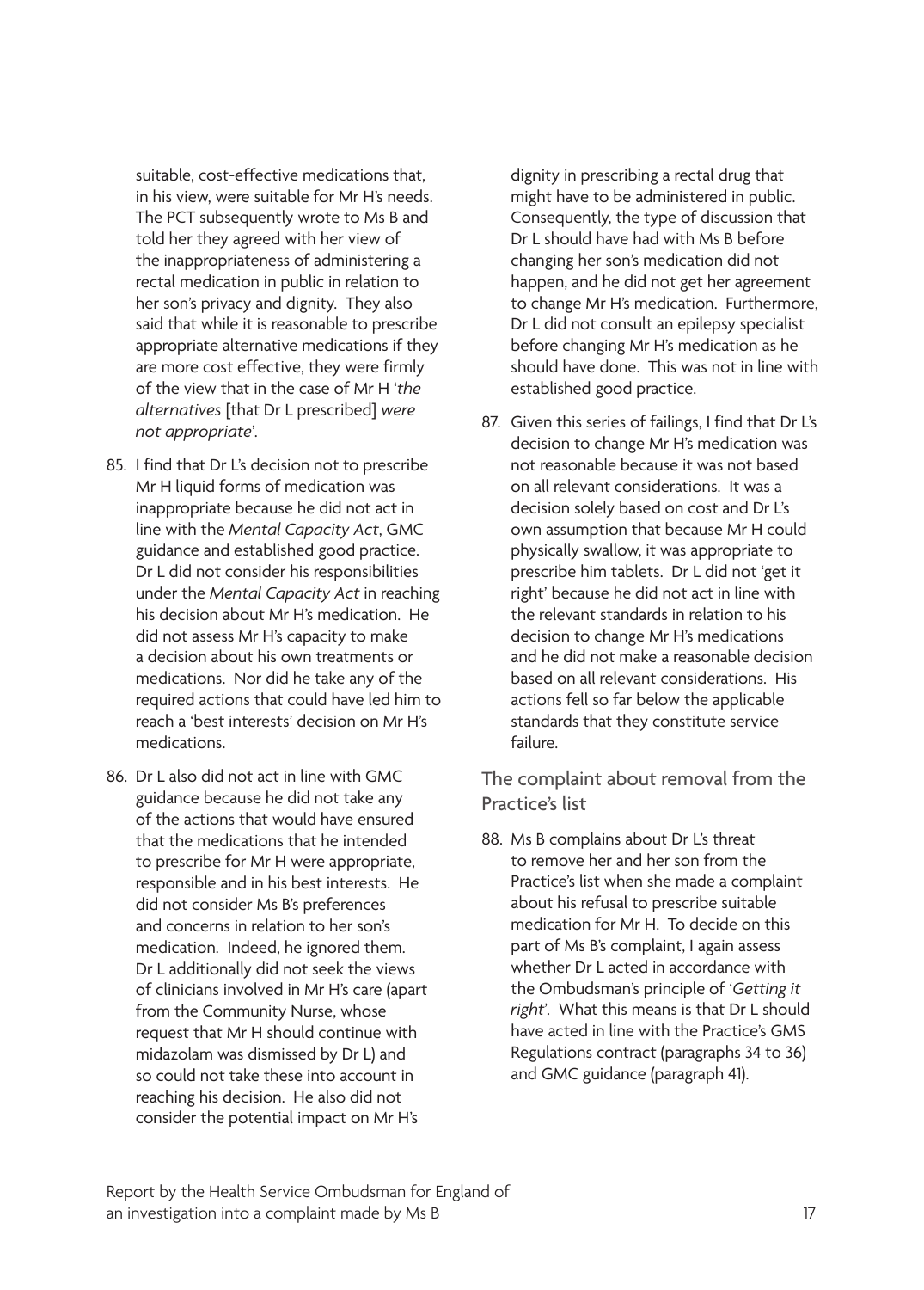suitable, cost-effective medications that, in his view, were suitable for Mr H's needs. The PCT subsequently wrote to Ms B and told her they agreed with her view of the inappropriateness of administering a rectal medication in public in relation to her son's privacy and dignity. They also said that while it is reasonable to prescribe appropriate alternative medications if they are more cost effective, they were firmly of the view that in the case of Mr H '*the alternatives* [that Dr L prescribed] *were not appropriate*'.

- 85. I find that Dr L's decision not to prescribe Mr H liquid forms of medication was inappropriate because he did not act in line with the *Mental Capacity Act*, GMC guidance and established good practice. Dr L did not consider his responsibilities under the *Mental Capacity Act* in reaching his decision about Mr H's medication. He did not assess Mr H's capacity to make a decision about his own treatments or medications. Nor did he take any of the required actions that could have led him to reach a 'best interests' decision on Mr H's medications.
- 86. Dr L also did not act in line with GMC guidance because he did not take any of the actions that would have ensured that the medications that he intended to prescribe for Mr H were appropriate, responsible and in his best interests. He did not consider Ms B's preferences and concerns in relation to her son's medication. Indeed, he ignored them. Dr L additionally did not seek the views of clinicians involved in Mr H's care (apart from the Community Nurse, whose request that Mr H should continue with midazolam was dismissed by Dr L) and so could not take these into account in reaching his decision. He also did not consider the potential impact on Mr H's

dignity in prescribing a rectal drug that might have to be administered in public. Consequently, the type of discussion that Dr L should have had with Ms B before changing her son's medication did not happen, and he did not get her agreement to change Mr H's medication. Furthermore, Dr L did not consult an epilepsy specialist before changing Mr H's medication as he should have done. This was not in line with established good practice.

87. Given this series of failings, I find that Dr L's decision to change Mr H's medication was not reasonable because it was not based on all relevant considerations. It was a decision solely based on cost and Dr L's own assumption that because Mr H could physically swallow, it was appropriate to prescribe him tablets. Dr L did not 'get it right' because he did not act in line with the relevant standards in relation to his decision to change Mr H's medications and he did not make a reasonable decision based on all relevant considerations. His actions fell so far below the applicable standards that they constitute service failure.

The complaint about removal from the Practice's list

88. Ms B complains about Dr L's threat to remove her and her son from the Practice's list when she made a complaint about his refusal to prescribe suitable medication for Mr H. To decide on this part of Ms B's complaint, I again assess whether Dr L acted in accordance with the Ombudsman's principle of '*Getting it right*'. What this means is that Dr L should have acted in line with the Practice's GMS Regulations contract (paragraphs 34 to 36) and GMC guidance (paragraph 41).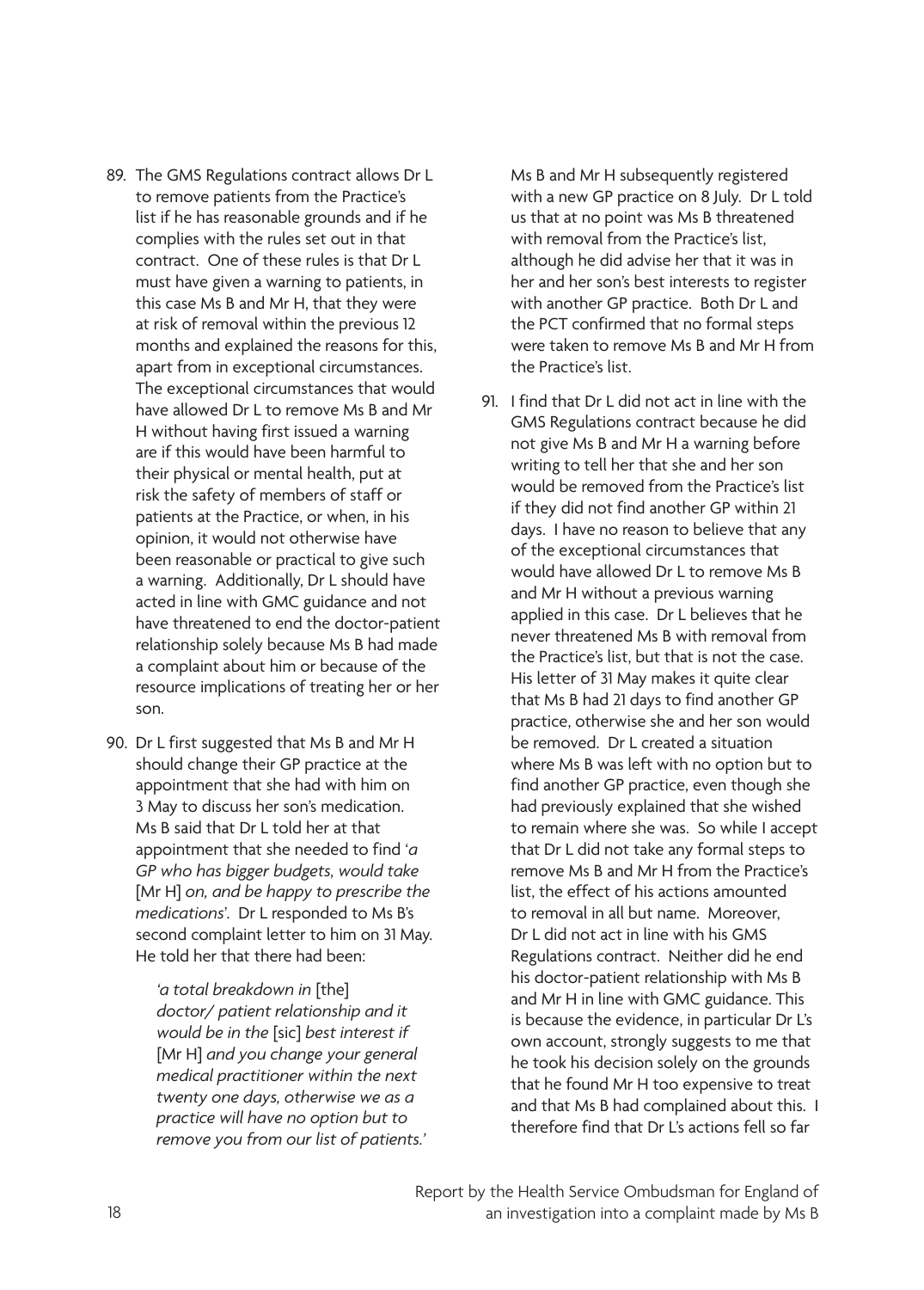- 89. The GMS Regulations contract allows Dr L to remove patients from the Practice's list if he has reasonable grounds and if he complies with the rules set out in that contract. One of these rules is that Dr L must have given a warning to patients, in this case Ms B and Mr H, that they were at risk of removal within the previous 12 months and explained the reasons for this, apart from in exceptional circumstances. The exceptional circumstances that would have allowed Dr L to remove Ms B and Mr H without having first issued a warning are if this would have been harmful to their physical or mental health, put at risk the safety of members of staff or patients at the Practice, or when, in his opinion, it would not otherwise have been reasonable or practical to give such a warning. Additionally, Dr L should have acted in line with GMC guidance and not have threatened to end the doctor-patient relationship solely because Ms B had made a complaint about him or because of the resource implications of treating her or her son.
- 90. Dr L first suggested that Ms B and Mr H should change their GP practice at the appointment that she had with him on 3 May to discuss her son's medication. Ms B said that Dr L told her at that appointment that she needed to find '*a GP who has bigger budgets, would take* [Mr H] *on, and be happy to prescribe the medications*'. Dr L responded to Ms B's second complaint letter to him on 31 May. He told her that there had been:

*'a total breakdown in* [the] *doctor/ patient relationship and it would be in the* [sic] *best interest if*  [Mr H] *and you change your general medical practitioner within the next twenty one days, otherwise we as a practice will have no option but to remove you from our list of patients.'* 

Ms B and Mr H subsequently registered with a new GP practice on 8 July. Dr L told us that at no point was Ms B threatened with removal from the Practice's list, although he did advise her that it was in her and her son's best interests to register with another GP practice. Both Dr L and the PCT confirmed that no formal steps were taken to remove Ms B and Mr H from the Practice's list.

91. I find that Dr L did not act in line with the GMS Regulations contract because he did not give Ms B and Mr H a warning before writing to tell her that she and her son would be removed from the Practice's list if they did not find another GP within 21 days. I have no reason to believe that any of the exceptional circumstances that would have allowed Dr L to remove Ms B and Mr H without a previous warning applied in this case. Dr L believes that he never threatened Ms B with removal from the Practice's list, but that is not the case. His letter of 31 May makes it quite clear that Ms B had 21 days to find another GP practice, otherwise she and her son would be removed. Dr L created a situation where Ms B was left with no option but to find another GP practice, even though she had previously explained that she wished to remain where she was. So while I accept that Dr L did not take any formal steps to remove Ms B and Mr H from the Practice's list, the effect of his actions amounted to removal in all but name. Moreover, Dr L did not act in line with his GMS Regulations contract. Neither did he end his doctor-patient relationship with Ms B and Mr H in line with GMC guidance. This is because the evidence, in particular Dr L's own account, strongly suggests to me that he took his decision solely on the grounds that he found Mr H too expensive to treat and that Ms B had complained about this. I therefore find that Dr L's actions fell so far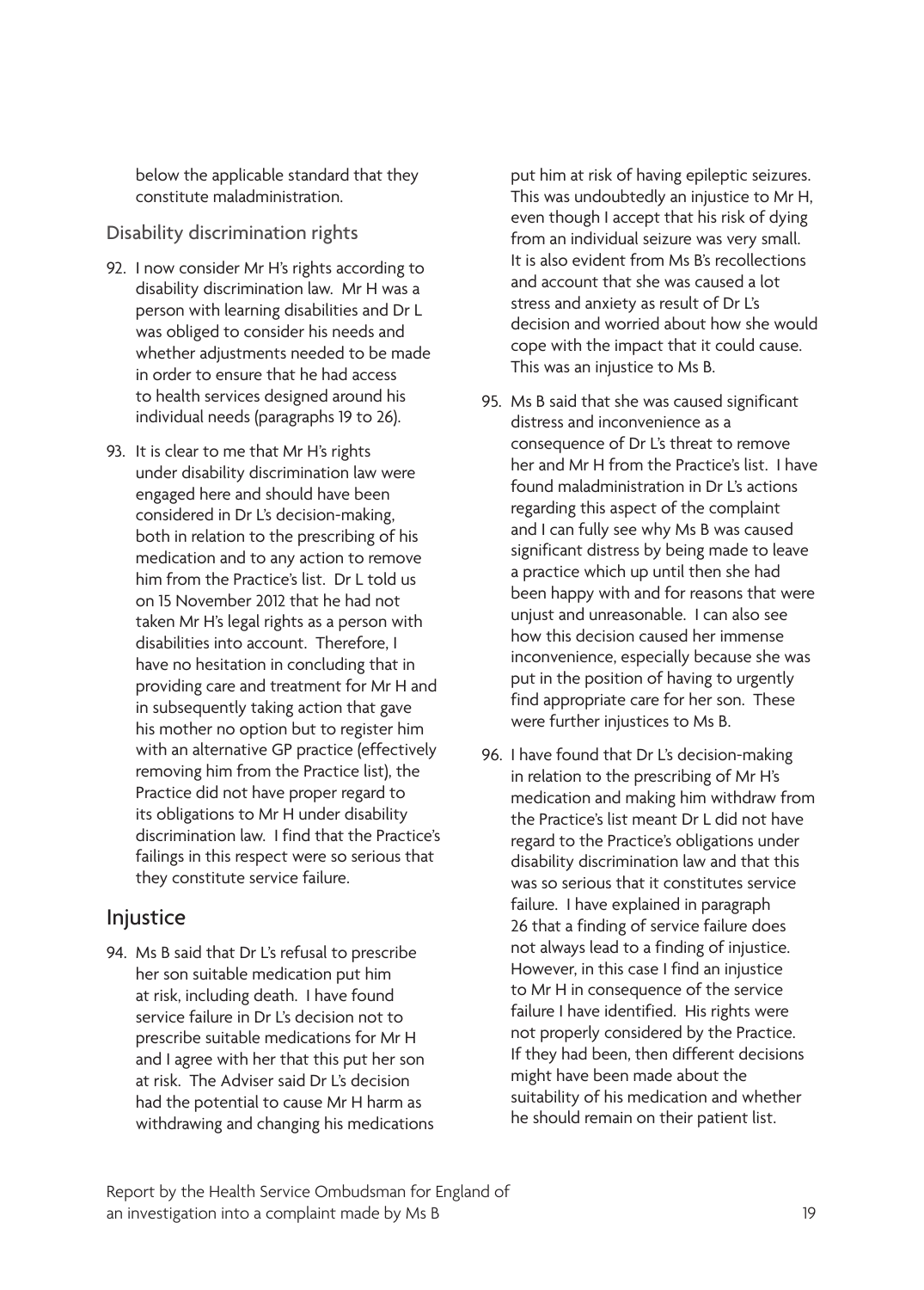below the applicable standard that they constitute maladministration.

#### Disability discrimination rights

- 92. I now consider Mr H's rights according to disability discrimination law. Mr H was a person with learning disabilities and Dr L was obliged to consider his needs and whether adjustments needed to be made in order to ensure that he had access to health services designed around his individual needs (paragraphs 19 to 26).
- 93. It is clear to me that Mr H's rights under disability discrimination law were engaged here and should have been considered in Dr L's decision-making, both in relation to the prescribing of his medication and to any action to remove him from the Practice's list. Dr L told us on 15 November 2012 that he had not taken Mr H's legal rights as a person with disabilities into account. Therefore, I have no hesitation in concluding that in providing care and treatment for Mr H and in subsequently taking action that gave his mother no option but to register him with an alternative GP practice (effectively removing him from the Practice list), the Practice did not have proper regard to its obligations to Mr H under disability discrimination law. I find that the Practice's failings in this respect were so serious that they constitute service failure.

#### Injustice

94. Ms B said that Dr L's refusal to prescribe her son suitable medication put him at risk, including death. I have found service failure in Dr L's decision not to prescribe suitable medications for Mr H and I agree with her that this put her son at risk. The Adviser said Dr L's decision had the potential to cause Mr H harm as withdrawing and changing his medications

put him at risk of having epileptic seizures. This was undoubtedly an injustice to Mr H, even though I accept that his risk of dying from an individual seizure was very small. It is also evident from Ms B's recollections and account that she was caused a lot stress and anxiety as result of Dr L's decision and worried about how she would cope with the impact that it could cause. This was an injustice to Ms B.

- 95. Ms B said that she was caused significant distress and inconvenience as a consequence of Dr L's threat to remove her and Mr H from the Practice's list. I have found maladministration in Dr L's actions regarding this aspect of the complaint and I can fully see why Ms B was caused significant distress by being made to leave a practice which up until then she had been happy with and for reasons that were unjust and unreasonable. I can also see how this decision caused her immense inconvenience, especially because she was put in the position of having to urgently find appropriate care for her son. These were further injustices to Ms B.
- 96. I have found that Dr L's decision-making in relation to the prescribing of Mr H's medication and making him withdraw from the Practice's list meant Dr L did not have regard to the Practice's obligations under disability discrimination law and that this was so serious that it constitutes service failure. I have explained in paragraph 26 that a finding of service failure does not always lead to a finding of injustice. However, in this case I find an injustice to Mr H in consequence of the service failure I have identified. His rights were not properly considered by the Practice. If they had been, then different decisions might have been made about the suitability of his medication and whether he should remain on their patient list.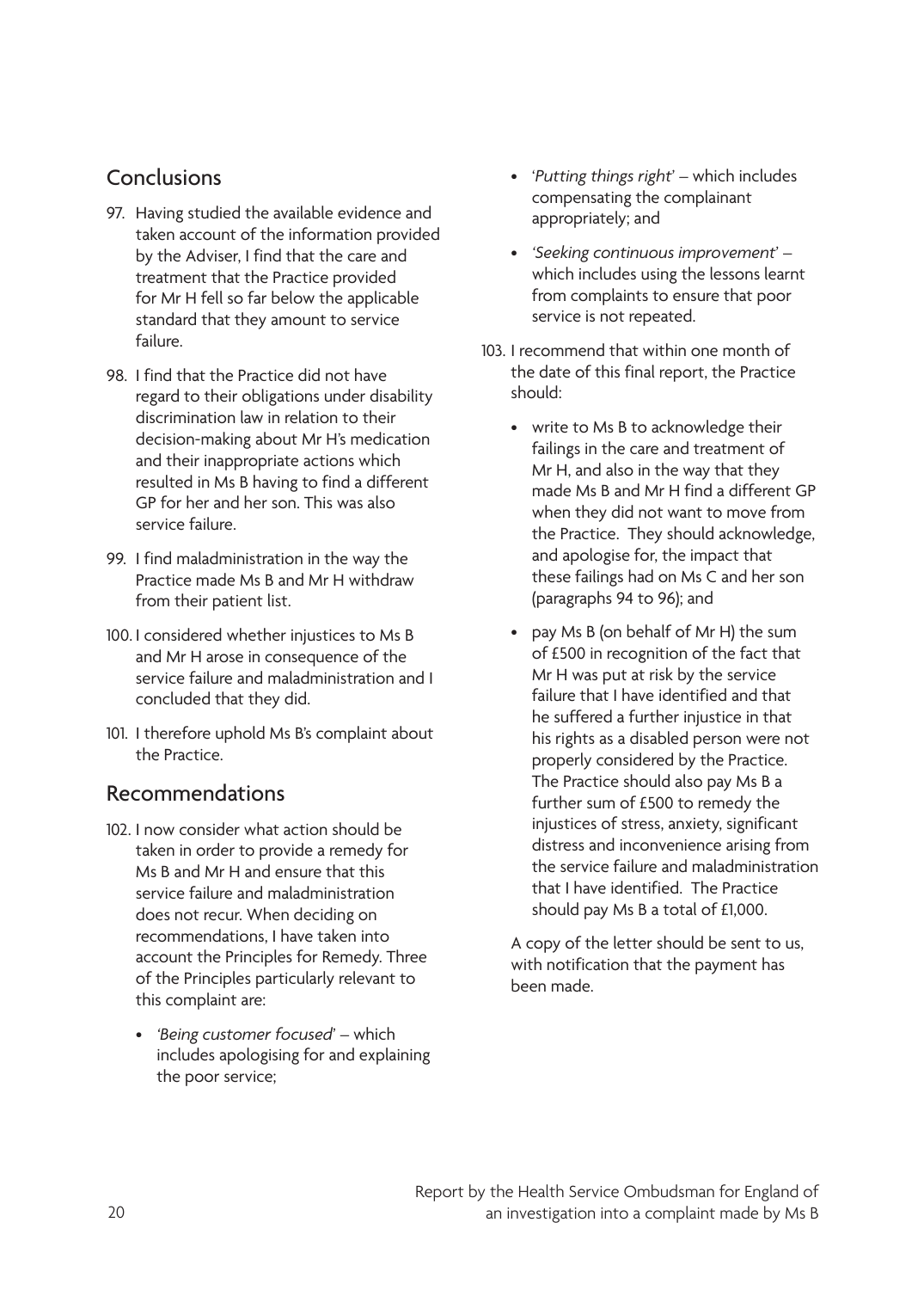#### Conclusions

- 97. Having studied the available evidence and taken account of the information provided by the Adviser, I find that the care and treatment that the Practice provided for Mr H fell so far below the applicable standard that they amount to service failure.
- 98. I find that the Practice did not have regard to their obligations under disability discrimination law in relation to their decision-making about Mr H's medication and their inappropriate actions which resulted in Ms B having to find a different GP for her and her son. This was also service failure.
- 99. I find maladministration in the way the Practice made Ms B and Mr H withdraw from their patient list.
- 100. I considered whether injustices to Ms B and Mr H arose in consequence of the service failure and maladministration and I concluded that they did.
- 101. I therefore uphold Ms B's complaint about the Practice.

#### Recommendations

- 102. I now consider what action should be taken in order to provide a remedy for Ms B and Mr H and ensure that this service failure and maladministration does not recur. When deciding on recommendations, I have taken into account the Principles for Remedy. Three of the Principles particularly relevant to this complaint are:
	- • *'Being customer focused*' which includes apologising for and explaining the poor service;
- • '*Putting things right*' which includes compensating the complainant appropriately; and
- • *'Seeking continuous improvement*' which includes using the lessons learnt from complaints to ensure that poor service is not repeated.
- 103. I recommend that within one month of the date of this final report, the Practice should:
	- write to Ms B to acknowledge their failings in the care and treatment of Mr H, and also in the way that they made Ms B and Mr H find a different GP when they did not want to move from the Practice. They should acknowledge, and apologise for, the impact that these failings had on Ms C and her son (paragraphs 94 to 96); and
	- pay Ms B (on behalf of Mr H) the sum of £500 in recognition of the fact that Mr H was put at risk by the service failure that I have identified and that he suffered a further injustice in that his rights as a disabled person were not properly considered by the Practice. The Practice should also pay Ms B a further sum of £500 to remedy the injustices of stress, anxiety, significant distress and inconvenience arising from the service failure and maladministration that I have identified. The Practice should pay Ms B a total of £1,000.

A copy of the letter should be sent to us, with notification that the payment has been made.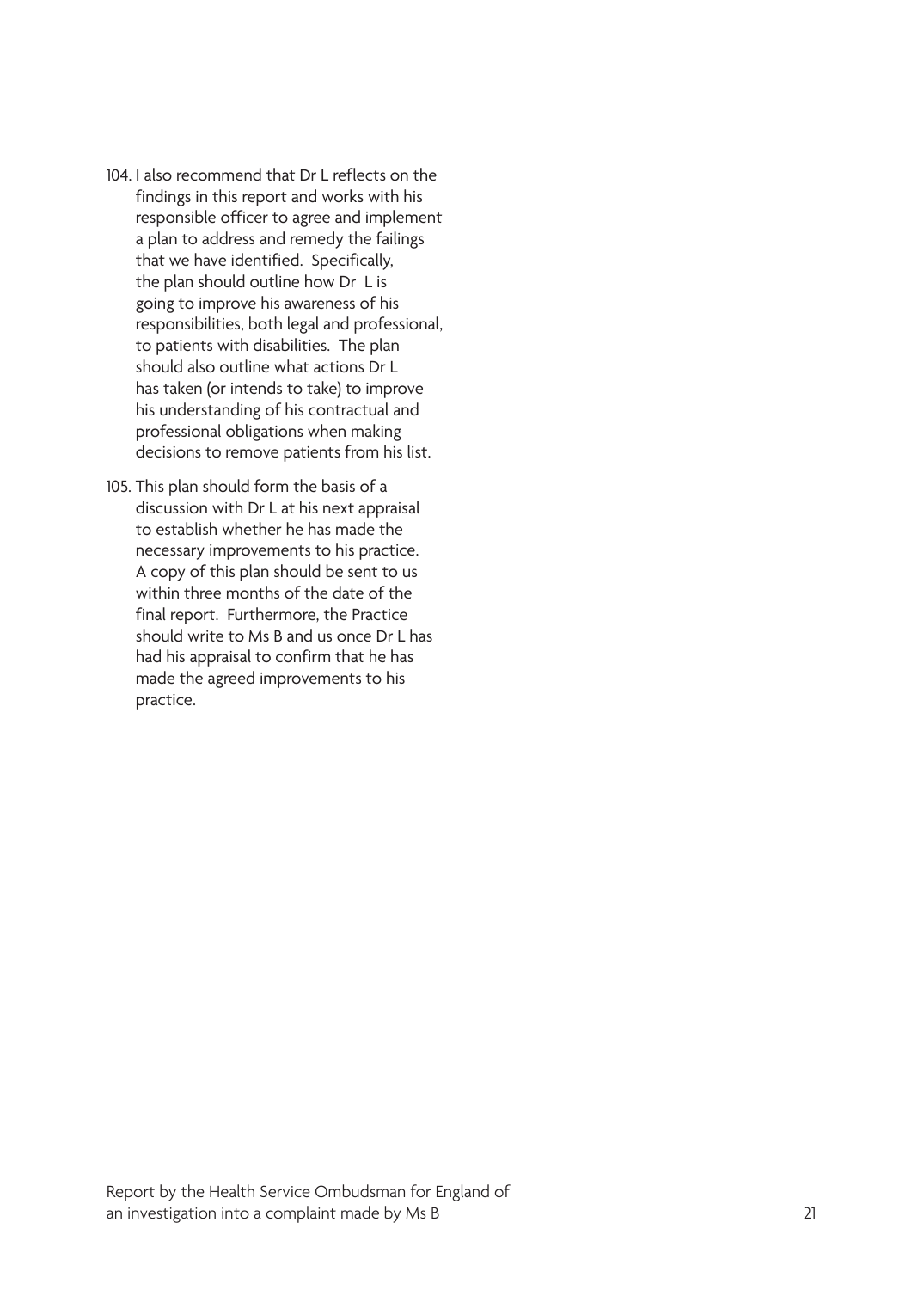- 104. I also recommend that Dr L reflects on the findings in this report and works with his responsible officer to agree and implement a plan to address and remedy the failings that we have identified. Specifically, the plan should outline how Dr L is going to improve his awareness of his responsibilities, both legal and professional, to patients with disabilities. The plan should also outline what actions Dr L has taken (or intends to take) to improve his understanding of his contractual and professional obligations when making decisions to remove patients from his list.
- 105. This plan should form the basis of a discussion with Dr L at his next appraisal to establish whether he has made the necessary improvements to his practice. A copy of this plan should be sent to us within three months of the date of the final report. Furthermore, the Practice should write to Ms B and us once Dr L has had his appraisal to confirm that he has made the agreed improvements to his practice.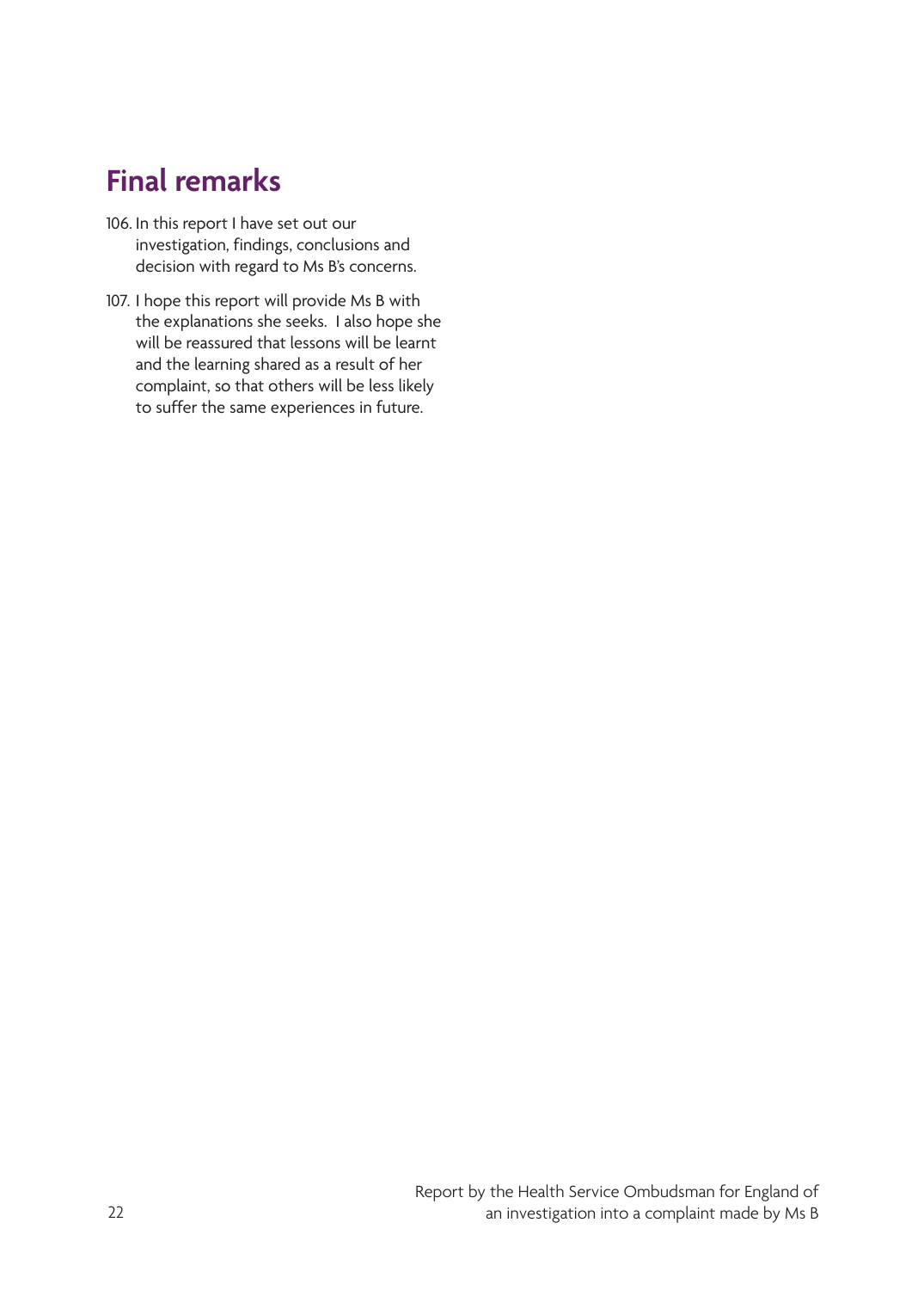## <span id="page-25-0"></span>**Final remarks**

- 106. In this report I have set out our investigation, findings, conclusions and decision with regard to Ms B's concerns.
- 107. I hope this report will provide Ms B with the explanations she seeks. I also hope she will be reassured that lessons will be learnt and the learning shared as a result of her complaint, so that others will be less likely to suffer the same experiences in future.